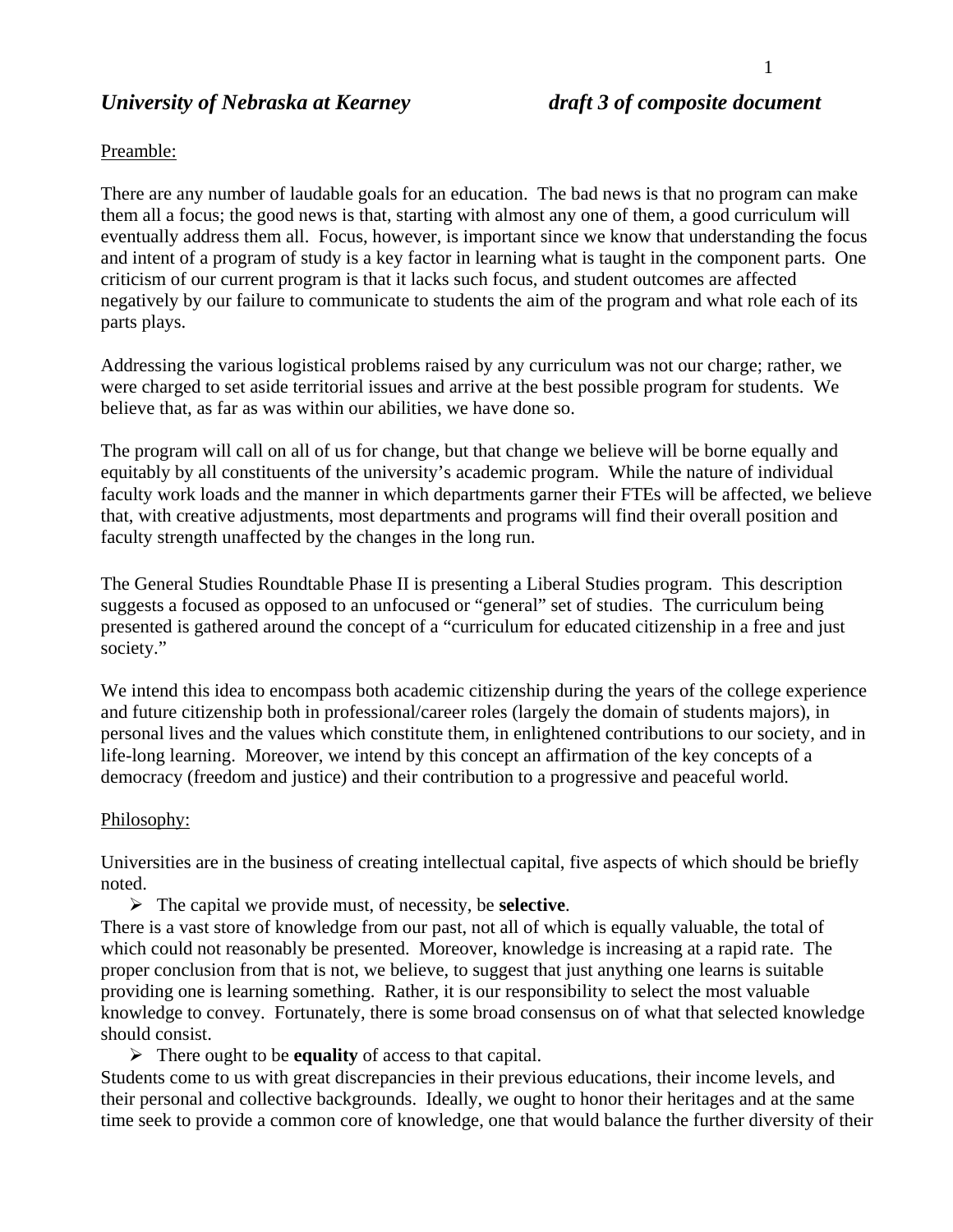## *University of Nebraska at Kearney draft 3 of composite document*

#### Preamble:

There are any number of laudable goals for an education. The bad news is that no program can make them all a focus; the good news is that, starting with almost any one of them, a good curriculum will eventually address them all. Focus, however, is important since we know that understanding the focus and intent of a program of study is a key factor in learning what is taught in the component parts. One criticism of our current program is that it lacks such focus, and student outcomes are affected negatively by our failure to communicate to students the aim of the program and what role each of its parts plays.

Addressing the various logistical problems raised by any curriculum was not our charge; rather, we were charged to set aside territorial issues and arrive at the best possible program for students. We believe that, as far as was within our abilities, we have done so.

The program will call on all of us for change, but that change we believe will be borne equally and equitably by all constituents of the university's academic program. While the nature of individual faculty work loads and the manner in which departments garner their FTEs will be affected, we believe that, with creative adjustments, most departments and programs will find their overall position and faculty strength unaffected by the changes in the long run.

The General Studies Roundtable Phase II is presenting a Liberal Studies program. This description suggests a focused as opposed to an unfocused or "general" set of studies. The curriculum being presented is gathered around the concept of a "curriculum for educated citizenship in a free and just society."

We intend this idea to encompass both academic citizenship during the years of the college experience and future citizenship both in professional/career roles (largely the domain of students majors), in personal lives and the values which constitute them, in enlightened contributions to our society, and in life-long learning. Moreover, we intend by this concept an affirmation of the key concepts of a democracy (freedom and justice) and their contribution to a progressive and peaceful world.

#### Philosophy:

Universities are in the business of creating intellectual capital, five aspects of which should be briefly noted.

¾ The capital we provide must, of necessity, be **selective**.

There is a vast store of knowledge from our past, not all of which is equally valuable, the total of which could not reasonably be presented. Moreover, knowledge is increasing at a rapid rate. The proper conclusion from that is not, we believe, to suggest that just anything one learns is suitable providing one is learning something. Rather, it is our responsibility to select the most valuable knowledge to convey. Fortunately, there is some broad consensus on of what that selected knowledge should consist.

¾ There ought to be **equality** of access to that capital.

Students come to us with great discrepancies in their previous educations, their income levels, and their personal and collective backgrounds. Ideally, we ought to honor their heritages and at the same time seek to provide a common core of knowledge, one that would balance the further diversity of their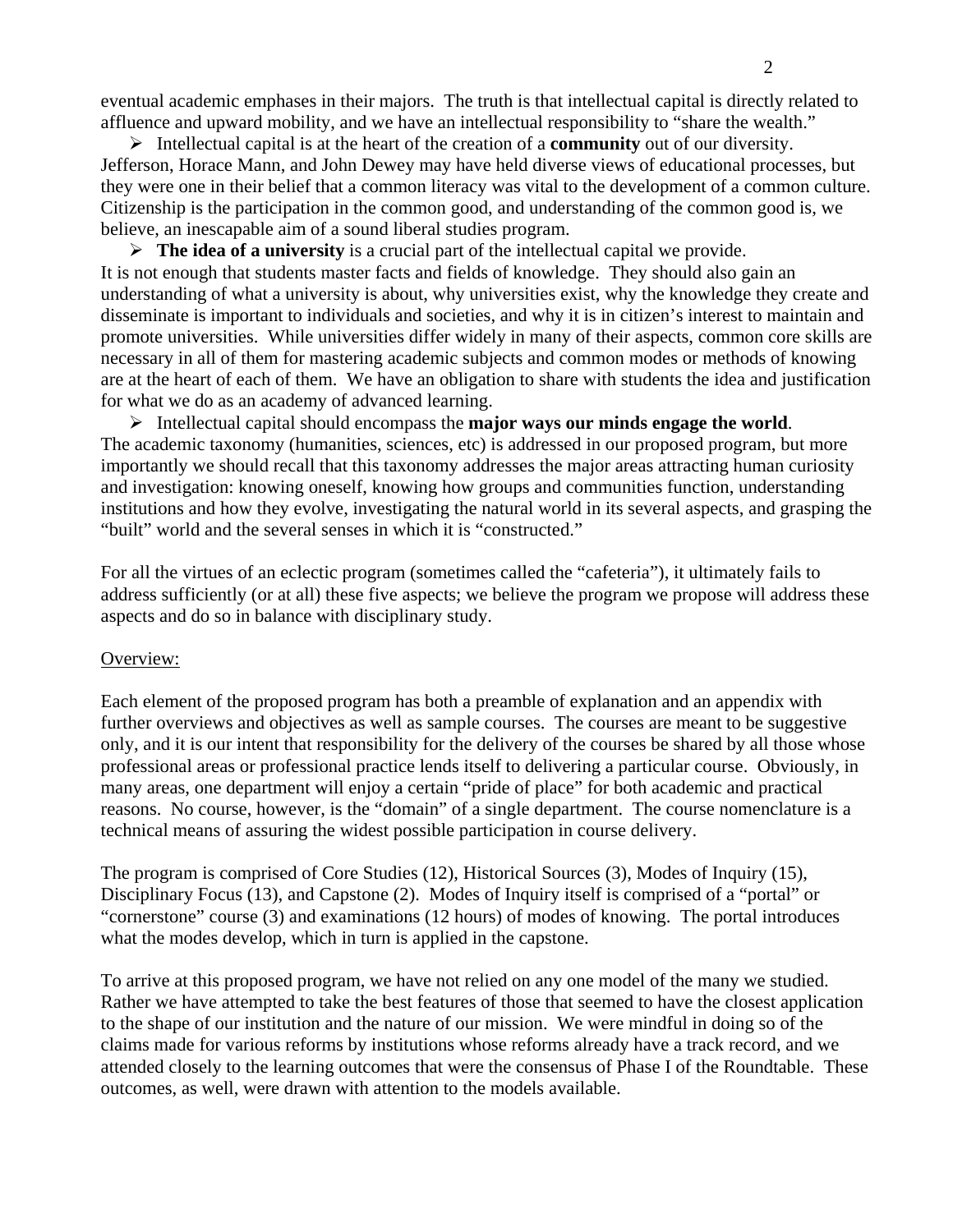eventual academic emphases in their majors. The truth is that intellectual capital is directly related to affluence and upward mobility, and we have an intellectual responsibility to "share the wealth."

¾ Intellectual capital is at the heart of the creation of a **community** out of our diversity. Jefferson, Horace Mann, and John Dewey may have held diverse views of educational processes, but they were one in their belief that a common literacy was vital to the development of a common culture. Citizenship is the participation in the common good, and understanding of the common good is, we believe, an inescapable aim of a sound liberal studies program.

¾ **The idea of a university** is a crucial part of the intellectual capital we provide. It is not enough that students master facts and fields of knowledge. They should also gain an understanding of what a university is about, why universities exist, why the knowledge they create and disseminate is important to individuals and societies, and why it is in citizen's interest to maintain and promote universities. While universities differ widely in many of their aspects, common core skills are necessary in all of them for mastering academic subjects and common modes or methods of knowing are at the heart of each of them. We have an obligation to share with students the idea and justification for what we do as an academy of advanced learning.

¾ Intellectual capital should encompass the **major ways our minds engage the world**. The academic taxonomy (humanities, sciences, etc) is addressed in our proposed program, but more importantly we should recall that this taxonomy addresses the major areas attracting human curiosity and investigation: knowing oneself, knowing how groups and communities function, understanding institutions and how they evolve, investigating the natural world in its several aspects, and grasping the "built" world and the several senses in which it is "constructed."

For all the virtues of an eclectic program (sometimes called the "cafeteria"), it ultimately fails to address sufficiently (or at all) these five aspects; we believe the program we propose will address these aspects and do so in balance with disciplinary study.

#### Overview:

Each element of the proposed program has both a preamble of explanation and an appendix with further overviews and objectives as well as sample courses. The courses are meant to be suggestive only, and it is our intent that responsibility for the delivery of the courses be shared by all those whose professional areas or professional practice lends itself to delivering a particular course. Obviously, in many areas, one department will enjoy a certain "pride of place" for both academic and practical reasons. No course, however, is the "domain" of a single department. The course nomenclature is a technical means of assuring the widest possible participation in course delivery.

The program is comprised of Core Studies (12), Historical Sources (3), Modes of Inquiry (15), Disciplinary Focus (13), and Capstone (2). Modes of Inquiry itself is comprised of a "portal" or "cornerstone" course (3) and examinations (12 hours) of modes of knowing. The portal introduces what the modes develop, which in turn is applied in the capstone.

To arrive at this proposed program, we have not relied on any one model of the many we studied. Rather we have attempted to take the best features of those that seemed to have the closest application to the shape of our institution and the nature of our mission. We were mindful in doing so of the claims made for various reforms by institutions whose reforms already have a track record, and we attended closely to the learning outcomes that were the consensus of Phase I of the Roundtable. These outcomes, as well, were drawn with attention to the models available.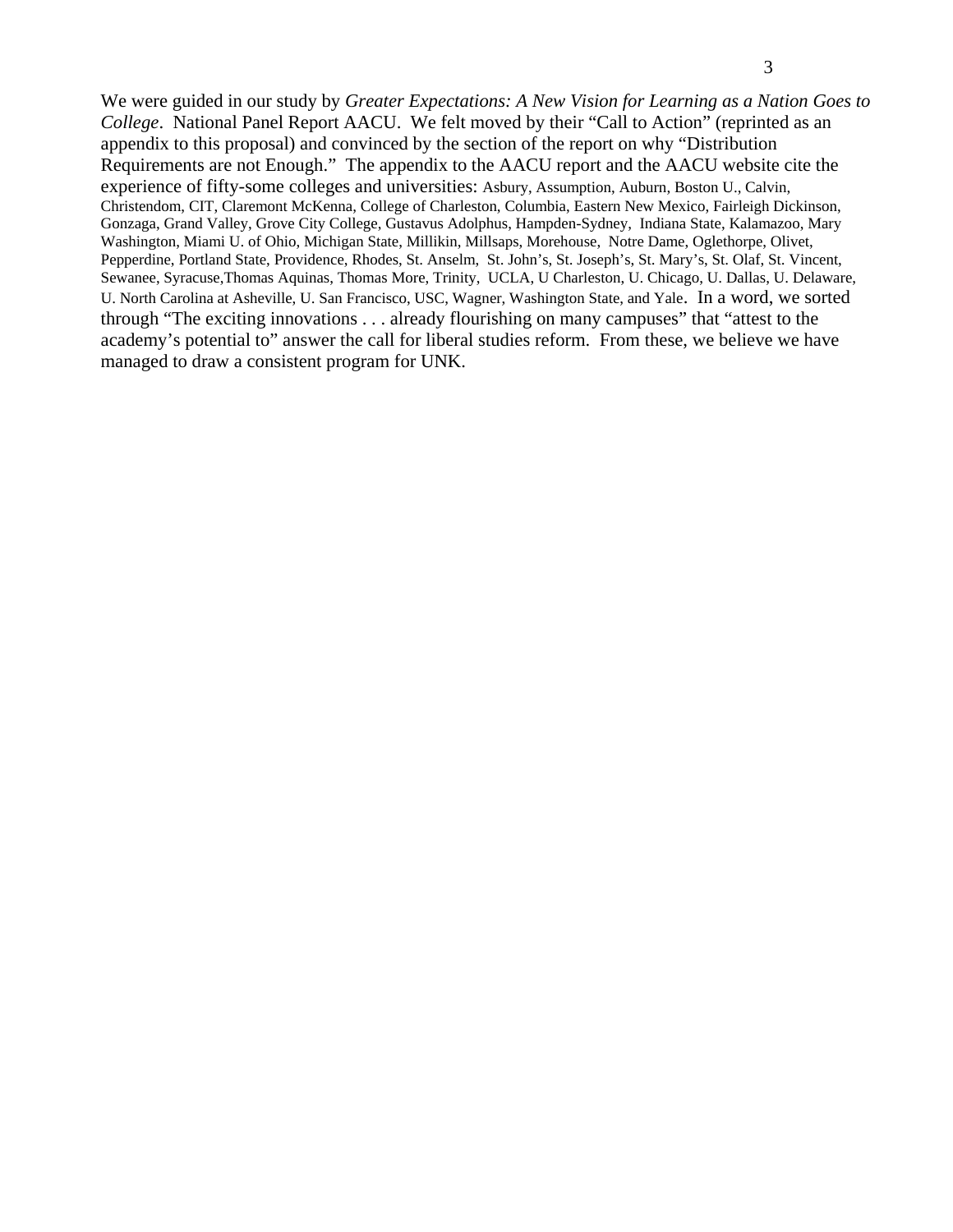We were guided in our study by *Greater Expectations: A New Vision for Learning as a Nation Goes to College*. National Panel Report AACU. We felt moved by their "Call to Action" (reprinted as an appendix to this proposal) and convinced by the section of the report on why "Distribution Requirements are not Enough." The appendix to the AACU report and the AACU website cite the experience of fifty-some colleges and universities: Asbury, Assumption, Auburn, Boston U., Calvin, Christendom, CIT, Claremont McKenna, College of Charleston, Columbia, Eastern New Mexico, Fairleigh Dickinson, Gonzaga, Grand Valley, Grove City College, Gustavus Adolphus, Hampden-Sydney, Indiana State, Kalamazoo, Mary Washington, Miami U. of Ohio, Michigan State, Millikin, Millsaps, Morehouse, Notre Dame, Oglethorpe, Olivet, Pepperdine, Portland State, Providence, Rhodes, St. Anselm, St. John's, St. Joseph's, St. Mary's, St. Olaf, St. Vincent, Sewanee, Syracuse,Thomas Aquinas, Thomas More, Trinity, UCLA, U Charleston, U. Chicago, U. Dallas, U. Delaware, U. North Carolina at Asheville, U. San Francisco, USC, Wagner, Washington State, and Yale. In a word, we sorted through "The exciting innovations . . . already flourishing on many campuses" that "attest to the academy's potential to" answer the call for liberal studies reform. From these, we believe we have managed to draw a consistent program for UNK.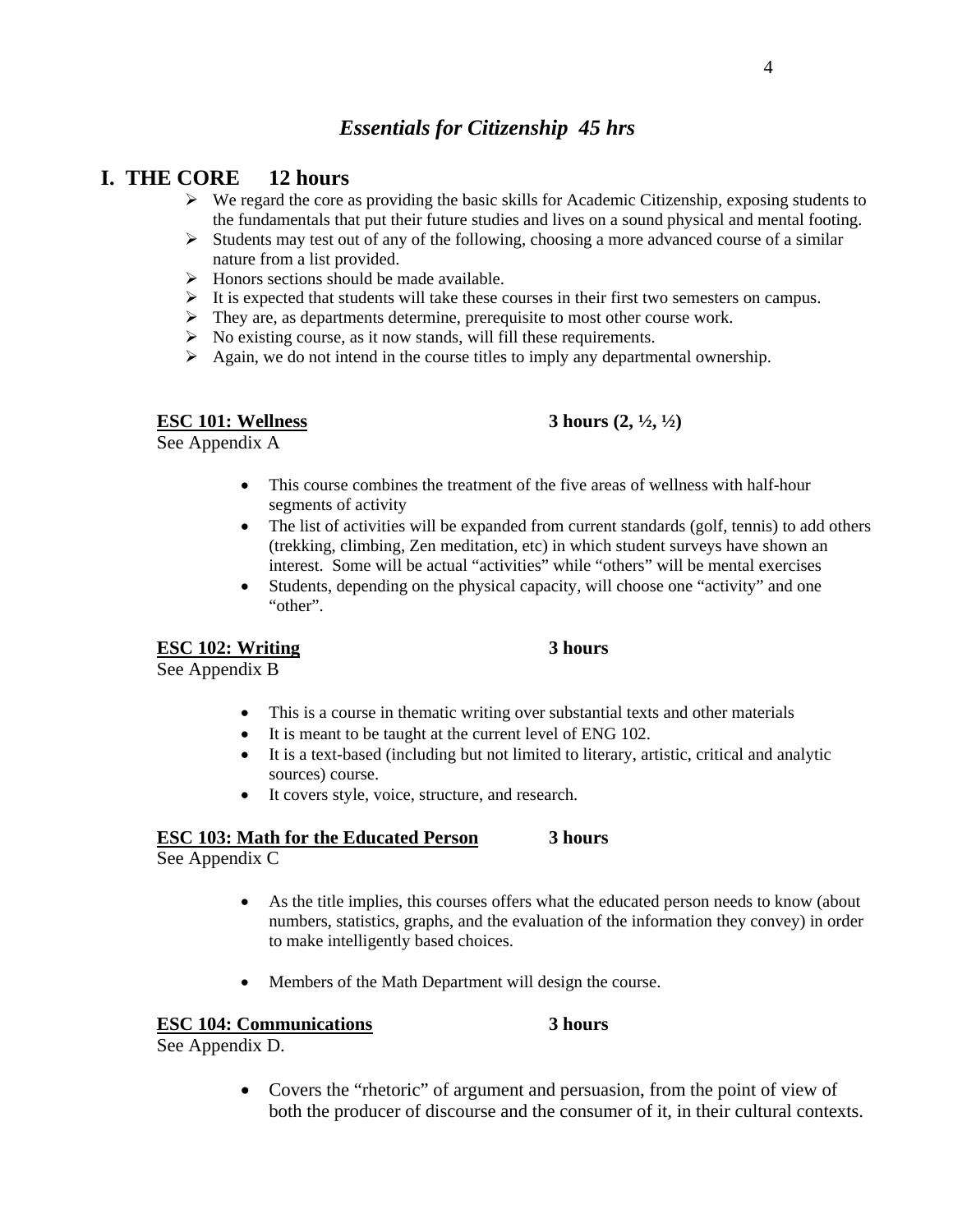## *Essentials for Citizenship 45 hrs*

## **I. THE CORE 12 hours**

- $\triangleright$  We regard the core as providing the basic skills for Academic Citizenship, exposing students to the fundamentals that put their future studies and lives on a sound physical and mental footing.
- $\triangleright$  Students may test out of any of the following, choosing a more advanced course of a similar nature from a list provided.
- $\triangleright$  Honors sections should be made available.
- $\triangleright$  It is expected that students will take these courses in their first two semesters on campus.
- $\triangleright$  They are, as departments determine, prerequisite to most other course work.
- $\triangleright$  No existing course, as it now stands, will fill these requirements.
- $\triangleright$  Again, we do not intend in the course titles to imply any departmental ownership.

## **ESC 101: Wellness** 3 hours (2,  $\frac{1}{2}$ ,  $\frac{1}{2}$ )

See Appendix A

- This course combines the treatment of the five areas of wellness with half-hour segments of activity
- The list of activities will be expanded from current standards (golf, tennis) to add others (trekking, climbing, Zen meditation, etc) in which student surveys have shown an interest. Some will be actual "activities" while "others" will be mental exercises
- Students, depending on the physical capacity, will choose one "activity" and one "other".

### **ESC 102: Writing 3 hours**

See Appendix B

- This is a course in thematic writing over substantial texts and other materials
- It is meant to be taught at the current level of ENG 102.
- It is a text-based (including but not limited to literary, artistic, critical and analytic sources) course.
- It covers style, voice, structure, and research.

#### **ESC 103: Math for the Educated Person 3 hours**

See Appendix C

- As the title implies, this courses offers what the educated person needs to know (about numbers, statistics, graphs, and the evaluation of the information they convey) in order to make intelligently based choices.
- Members of the Math Department will design the course.

### **ESC 104: Communications 3 hours**

See Appendix D.

• Covers the "rhetoric" of argument and persuasion, from the point of view of both the producer of discourse and the consumer of it, in their cultural contexts.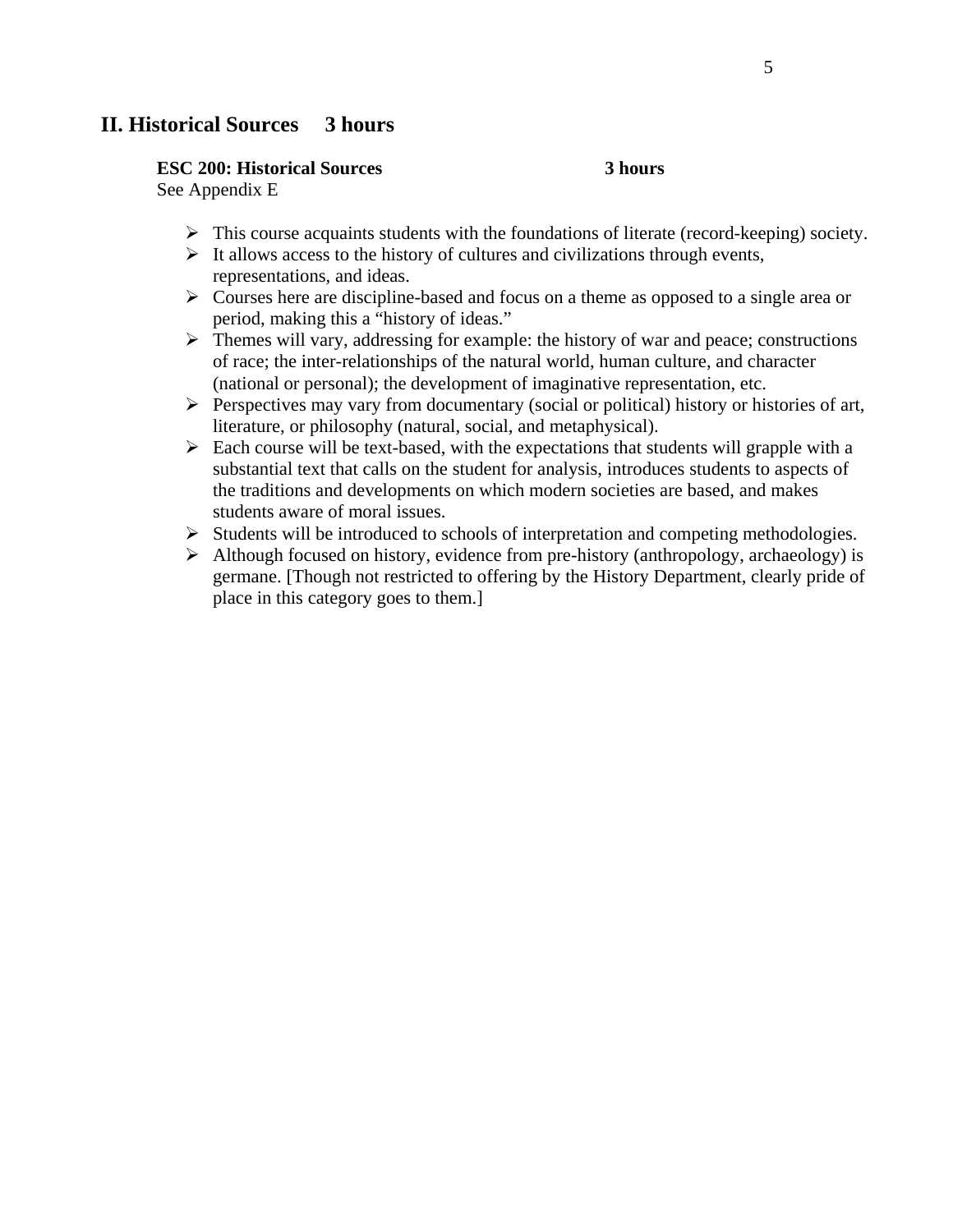## **II. Historical Sources 3 hours**

#### **ESC 200: Historical Sources 3 hours**

See Appendix E

- $\triangleright$  This course acquaints students with the foundations of literate (record-keeping) society.
- $\triangleright$  It allows access to the history of cultures and civilizations through events, representations, and ideas.
- $\triangleright$  Courses here are discipline-based and focus on a theme as opposed to a single area or period, making this a "history of ideas."
- $\triangleright$  Themes will vary, addressing for example: the history of war and peace; constructions of race; the inter-relationships of the natural world, human culture, and character (national or personal); the development of imaginative representation, etc.
- $\triangleright$  Perspectives may vary from documentary (social or political) history or histories of art, literature, or philosophy (natural, social, and metaphysical).
- $\triangleright$  Each course will be text-based, with the expectations that students will grapple with a substantial text that calls on the student for analysis, introduces students to aspects of the traditions and developments on which modern societies are based, and makes students aware of moral issues.
- ¾ Students will be introduced to schools of interpretation and competing methodologies.
- $\triangleright$  Although focused on history, evidence from pre-history (anthropology, archaeology) is germane. [Though not restricted to offering by the History Department, clearly pride of place in this category goes to them.]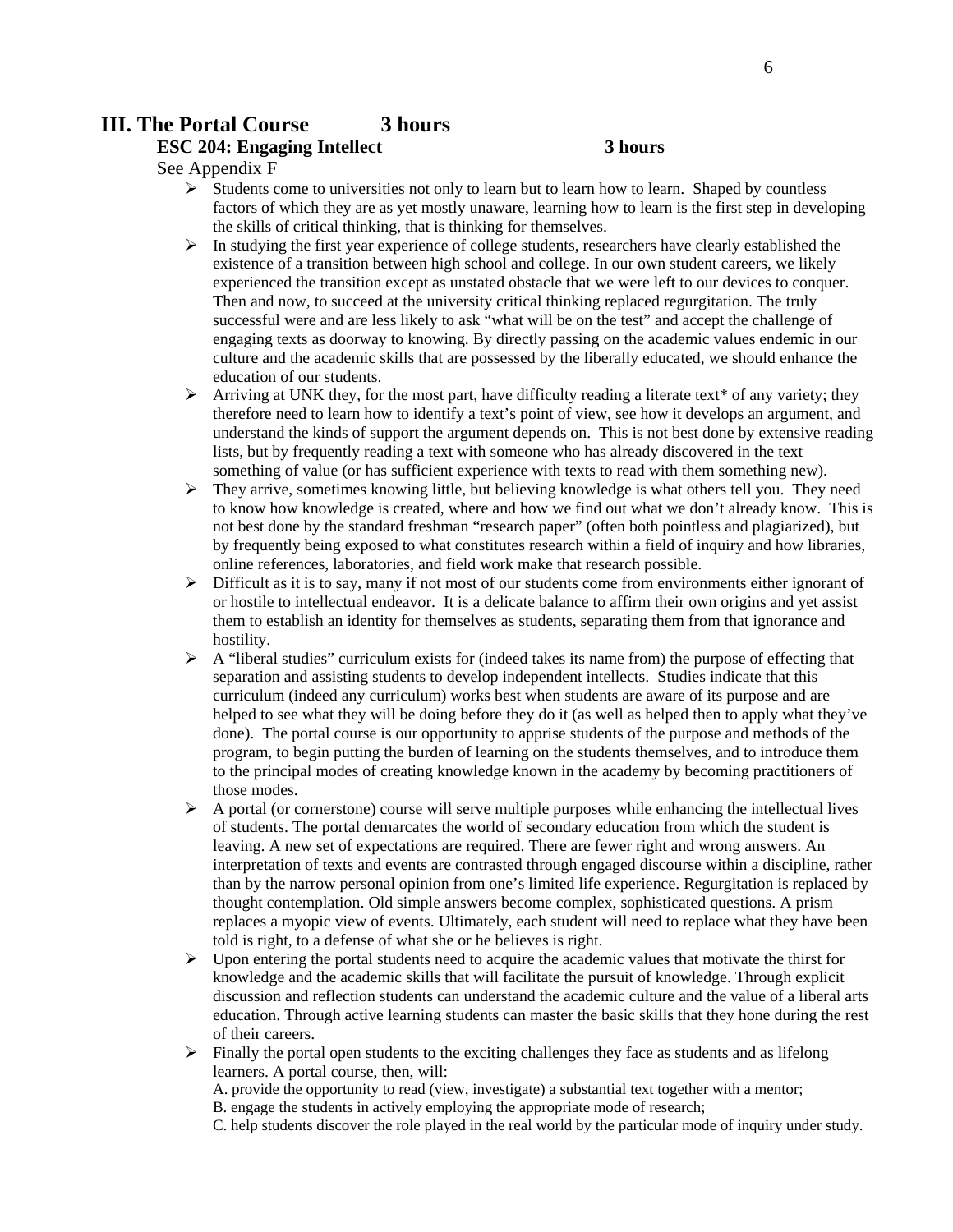## **III. The Portal Course 3 hours**

## **ESC 204: Engaging Intellect 3 hours**

See Appendix F

- $\triangleright$  Students come to universities not only to learn but to learn how to learn. Shaped by countless factors of which they are as yet mostly unaware, learning how to learn is the first step in developing the skills of critical thinking, that is thinking for themselves.
- $\triangleright$  In studying the first year experience of college students, researchers have clearly established the existence of a transition between high school and college. In our own student careers, we likely experienced the transition except as unstated obstacle that we were left to our devices to conquer. Then and now, to succeed at the university critical thinking replaced regurgitation. The truly successful were and are less likely to ask "what will be on the test" and accept the challenge of engaging texts as doorway to knowing. By directly passing on the academic values endemic in our culture and the academic skills that are possessed by the liberally educated, we should enhance the education of our students.
- $\triangleright$  Arriving at UNK they, for the most part, have difficulty reading a literate text\* of any variety; they therefore need to learn how to identify a text's point of view, see how it develops an argument, and understand the kinds of support the argument depends on. This is not best done by extensive reading lists, but by frequently reading a text with someone who has already discovered in the text something of value (or has sufficient experience with texts to read with them something new).
- $\triangleright$  They arrive, sometimes knowing little, but believing knowledge is what others tell you. They need to know how knowledge is created, where and how we find out what we don't already know. This is not best done by the standard freshman "research paper" (often both pointless and plagiarized), but by frequently being exposed to what constitutes research within a field of inquiry and how libraries, online references, laboratories, and field work make that research possible.
- $\triangleright$  Difficult as it is to say, many if not most of our students come from environments either ignorant of or hostile to intellectual endeavor. It is a delicate balance to affirm their own origins and yet assist them to establish an identity for themselves as students, separating them from that ignorance and hostility.
- $\triangleright$  A "liberal studies" curriculum exists for (indeed takes its name from) the purpose of effecting that separation and assisting students to develop independent intellects. Studies indicate that this curriculum (indeed any curriculum) works best when students are aware of its purpose and are helped to see what they will be doing before they do it (as well as helped then to apply what they've done). The portal course is our opportunity to apprise students of the purpose and methods of the program, to begin putting the burden of learning on the students themselves, and to introduce them to the principal modes of creating knowledge known in the academy by becoming practitioners of those modes.
- $\triangleright$  A portal (or cornerstone) course will serve multiple purposes while enhancing the intellectual lives of students. The portal demarcates the world of secondary education from which the student is leaving. A new set of expectations are required. There are fewer right and wrong answers. An interpretation of texts and events are contrasted through engaged discourse within a discipline, rather than by the narrow personal opinion from one's limited life experience. Regurgitation is replaced by thought contemplation. Old simple answers become complex, sophisticated questions. A prism replaces a myopic view of events. Ultimately, each student will need to replace what they have been told is right, to a defense of what she or he believes is right.
- $\triangleright$  Upon entering the portal students need to acquire the academic values that motivate the thirst for knowledge and the academic skills that will facilitate the pursuit of knowledge. Through explicit discussion and reflection students can understand the academic culture and the value of a liberal arts education. Through active learning students can master the basic skills that they hone during the rest of their careers.
- $\triangleright$  Finally the portal open students to the exciting challenges they face as students and as lifelong learners. A portal course, then, will:
	- A. provide the opportunity to read (view, investigate) a substantial text together with a mentor;
	- B. engage the students in actively employing the appropriate mode of research;
	- C. help students discover the role played in the real world by the particular mode of inquiry under study.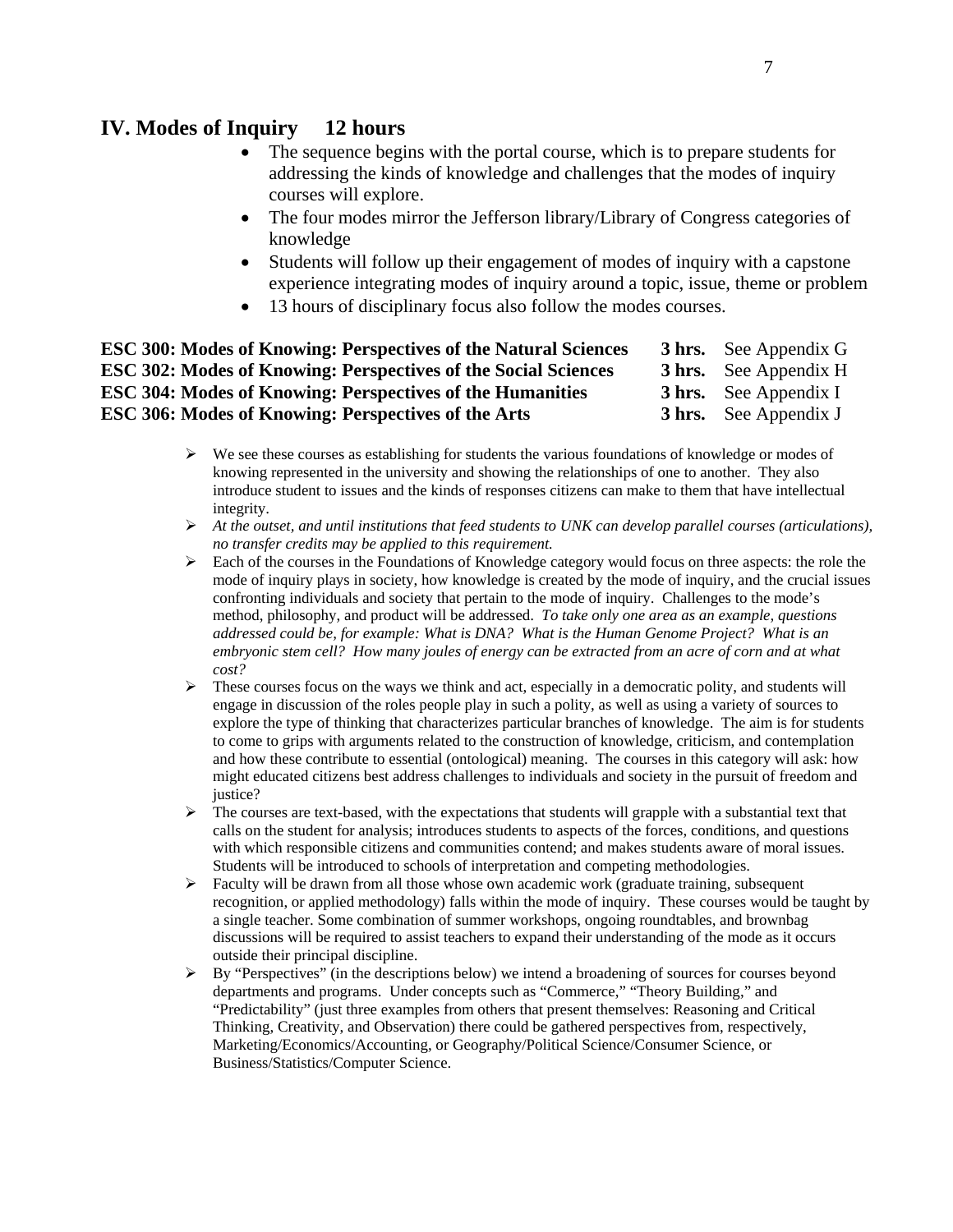## **IV. Modes of Inquiry 12 hours**

- The sequence begins with the portal course, which is to prepare students for addressing the kinds of knowledge and challenges that the modes of inquiry courses will explore.
- The four modes mirror the Jefferson library/Library of Congress categories of knowledge
- Students will follow up their engagement of modes of inquiry with a capstone experience integrating modes of inquiry around a topic, issue, theme or problem
- 13 hours of disciplinary focus also follow the modes courses.

| <b>ESC 300: Modes of Knowing: Perspectives of the Natural Sciences</b> | <b>3 hrs.</b> See Appendix G |
|------------------------------------------------------------------------|------------------------------|
| <b>ESC 302: Modes of Knowing: Perspectives of the Social Sciences</b>  | <b>3 hrs.</b> See Appendix H |
| <b>ESC 304: Modes of Knowing: Perspectives of the Humanities</b>       | <b>3 hrs.</b> See Appendix I |
| ESC 306: Modes of Knowing: Perspectives of the Arts                    | <b>3 hrs.</b> See Appendix J |

- $\triangleright$  We see these courses as establishing for students the various foundations of knowledge or modes of knowing represented in the university and showing the relationships of one to another. They also introduce student to issues and the kinds of responses citizens can make to them that have intellectual integrity.
- ¾ *At the outset, and until institutions that feed students to UNK can develop parallel courses (articulations), no transfer credits may be applied to this requirement.*
- $\triangleright$  Each of the courses in the Foundations of Knowledge category would focus on three aspects: the role the mode of inquiry plays in society, how knowledge is created by the mode of inquiry, and the crucial issues confronting individuals and society that pertain to the mode of inquiry. Challenges to the mode's method, philosophy, and product will be addressed. *To take only one area as an example, questions addressed could be, for example: What is DNA? What is the Human Genome Project? What is an embryonic stem cell? How many joules of energy can be extracted from an acre of corn and at what cost?*
- $\triangleright$  These courses focus on the ways we think and act, especially in a democratic polity, and students will engage in discussion of the roles people play in such a polity, as well as using a variety of sources to explore the type of thinking that characterizes particular branches of knowledge. The aim is for students to come to grips with arguments related to the construction of knowledge, criticism, and contemplation and how these contribute to essential (ontological) meaning. The courses in this category will ask: how might educated citizens best address challenges to individuals and society in the pursuit of freedom and justice?
- $\triangleright$  The courses are text-based, with the expectations that students will grapple with a substantial text that calls on the student for analysis; introduces students to aspects of the forces, conditions, and questions with which responsible citizens and communities contend; and makes students aware of moral issues. Students will be introduced to schools of interpretation and competing methodologies.
- $\triangleright$  Faculty will be drawn from all those whose own academic work (graduate training, subsequent recognition, or applied methodology) falls within the mode of inquiry. These courses would be taught by a single teacher. Some combination of summer workshops, ongoing roundtables, and brownbag discussions will be required to assist teachers to expand their understanding of the mode as it occurs outside their principal discipline.
- $\triangleright$  By "Perspectives" (in the descriptions below) we intend a broadening of sources for courses beyond departments and programs. Under concepts such as "Commerce," "Theory Building," and "Predictability" (just three examples from others that present themselves: Reasoning and Critical Thinking, Creativity, and Observation) there could be gathered perspectives from, respectively, Marketing/Economics/Accounting, or Geography/Political Science/Consumer Science, or Business/Statistics/Computer Science.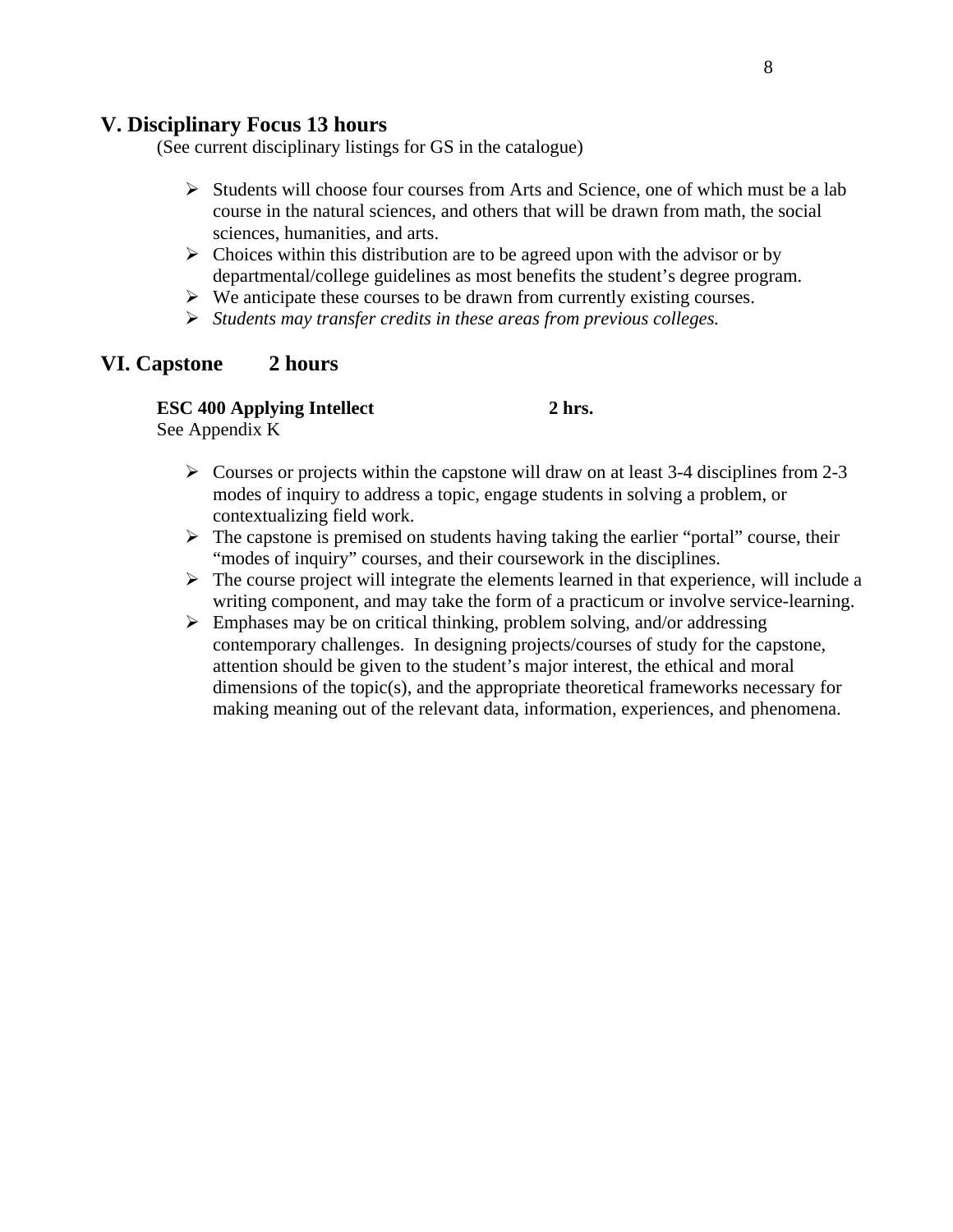## **V. Disciplinary Focus 13 hours**

(See current disciplinary listings for GS in the catalogue)

- $\triangleright$  Students will choose four courses from Arts and Science, one of which must be a lab course in the natural sciences, and others that will be drawn from math, the social sciences, humanities, and arts.
- $\triangleright$  Choices within this distribution are to be agreed upon with the advisor or by departmental/college guidelines as most benefits the student's degree program.
- $\triangleright$  We anticipate these courses to be drawn from currently existing courses.
- ¾ *Students may transfer credits in these areas from previous colleges.*

## **VI. Capstone 2 hours**

## **ESC 400 Applying Intellect** 2 hrs.

See Appendix K

- $\triangleright$  Courses or projects within the capstone will draw on at least 3-4 disciplines from 2-3 modes of inquiry to address a topic, engage students in solving a problem, or contextualizing field work.
- $\triangleright$  The capstone is premised on students having taking the earlier "portal" course, their "modes of inquiry" courses, and their coursework in the disciplines.
- $\triangleright$  The course project will integrate the elements learned in that experience, will include a writing component, and may take the form of a practicum or involve service-learning.
- $\triangleright$  Emphases may be on critical thinking, problem solving, and/or addressing contemporary challenges. In designing projects/courses of study for the capstone, attention should be given to the student's major interest, the ethical and moral dimensions of the topic(s), and the appropriate theoretical frameworks necessary for making meaning out of the relevant data, information, experiences, and phenomena.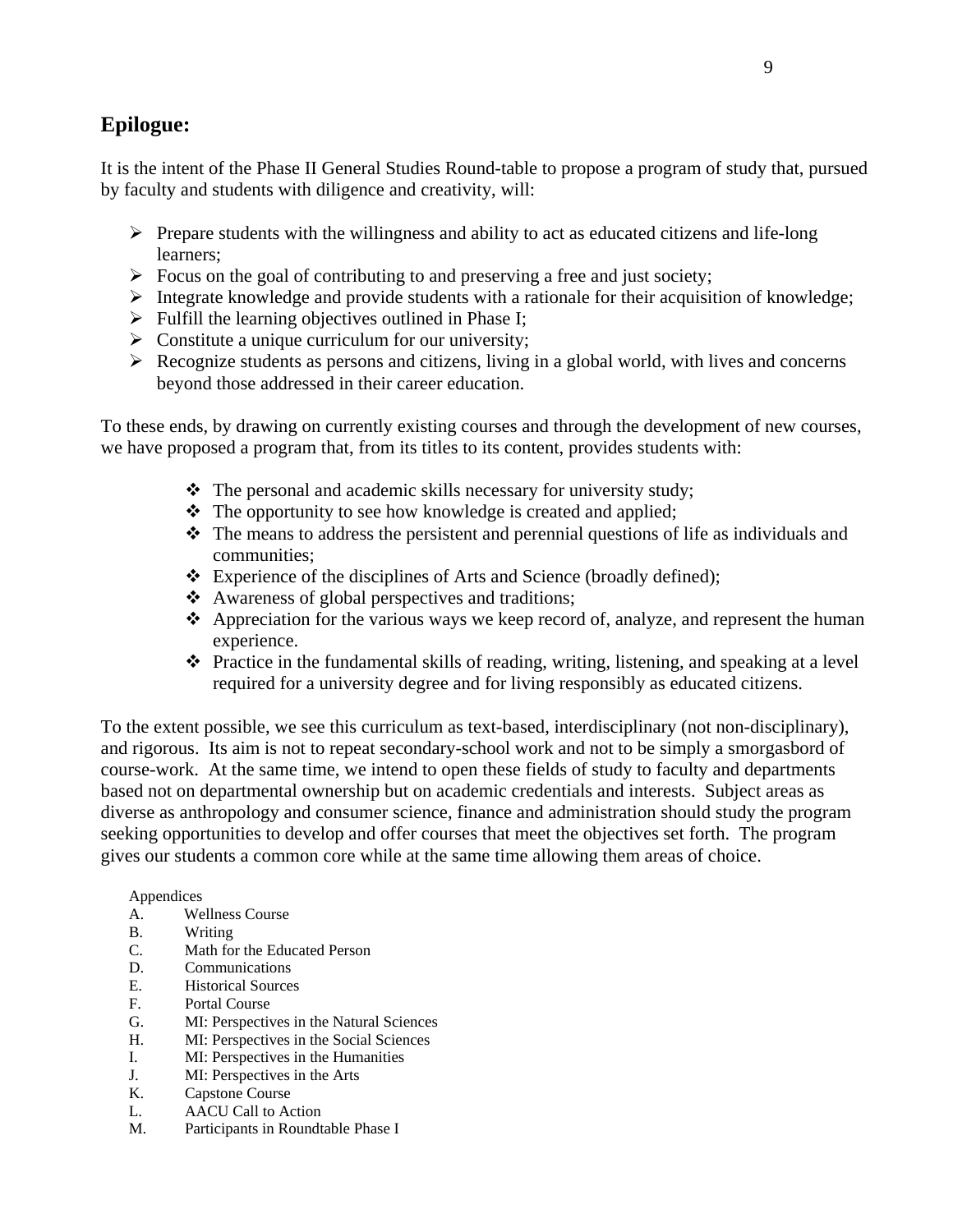## **Epilogue:**

It is the intent of the Phase II General Studies Round-table to propose a program of study that, pursued by faculty and students with diligence and creativity, will:

- $\triangleright$  Prepare students with the willingness and ability to act as educated citizens and life-long learners;
- $\triangleright$  Focus on the goal of contributing to and preserving a free and just society;
- $\triangleright$  Integrate knowledge and provide students with a rationale for their acquisition of knowledge;
- $\triangleright$  Fulfill the learning objectives outlined in Phase I;
- $\triangleright$  Constitute a unique curriculum for our university;
- $\triangleright$  Recognize students as persons and citizens, living in a global world, with lives and concerns beyond those addressed in their career education.

To these ends, by drawing on currently existing courses and through the development of new courses, we have proposed a program that, from its titles to its content, provides students with:

- $\triangle$  The personal and academic skills necessary for university study;
- The opportunity to see how knowledge is created and applied;
- $\hat{\mathbf{\cdot}}$  The means to address the persistent and perennial questions of life as individuals and communities;
- $\triangle$  Experience of the disciplines of Arts and Science (broadly defined);
- Awareness of global perspectives and traditions;
- $\triangle$  Appreciation for the various ways we keep record of, analyze, and represent the human experience.
- $\triangle$  Practice in the fundamental skills of reading, writing, listening, and speaking at a level required for a university degree and for living responsibly as educated citizens.

To the extent possible, we see this curriculum as text-based, interdisciplinary (not non-disciplinary), and rigorous. Its aim is not to repeat secondary-school work and not to be simply a smorgasbord of course-work. At the same time, we intend to open these fields of study to faculty and departments based not on departmental ownership but on academic credentials and interests. Subject areas as diverse as anthropology and consumer science, finance and administration should study the program seeking opportunities to develop and offer courses that meet the objectives set forth. The program gives our students a common core while at the same time allowing them areas of choice.

#### Appendices

- A. Wellness Course
- B. Writing
- C. Math for the Educated Person
- D. Communications
- E. Historical Sources
- F. Portal Course
- G. MI: Perspectives in the Natural Sciences
- H. MI: Perspectives in the Social Sciences
- I. MI: Perspectives in the Humanities
- J. MI: Perspectives in the Arts
- K. Capstone Course
- L. AACU Call to Action
- M. Participants in Roundtable Phase I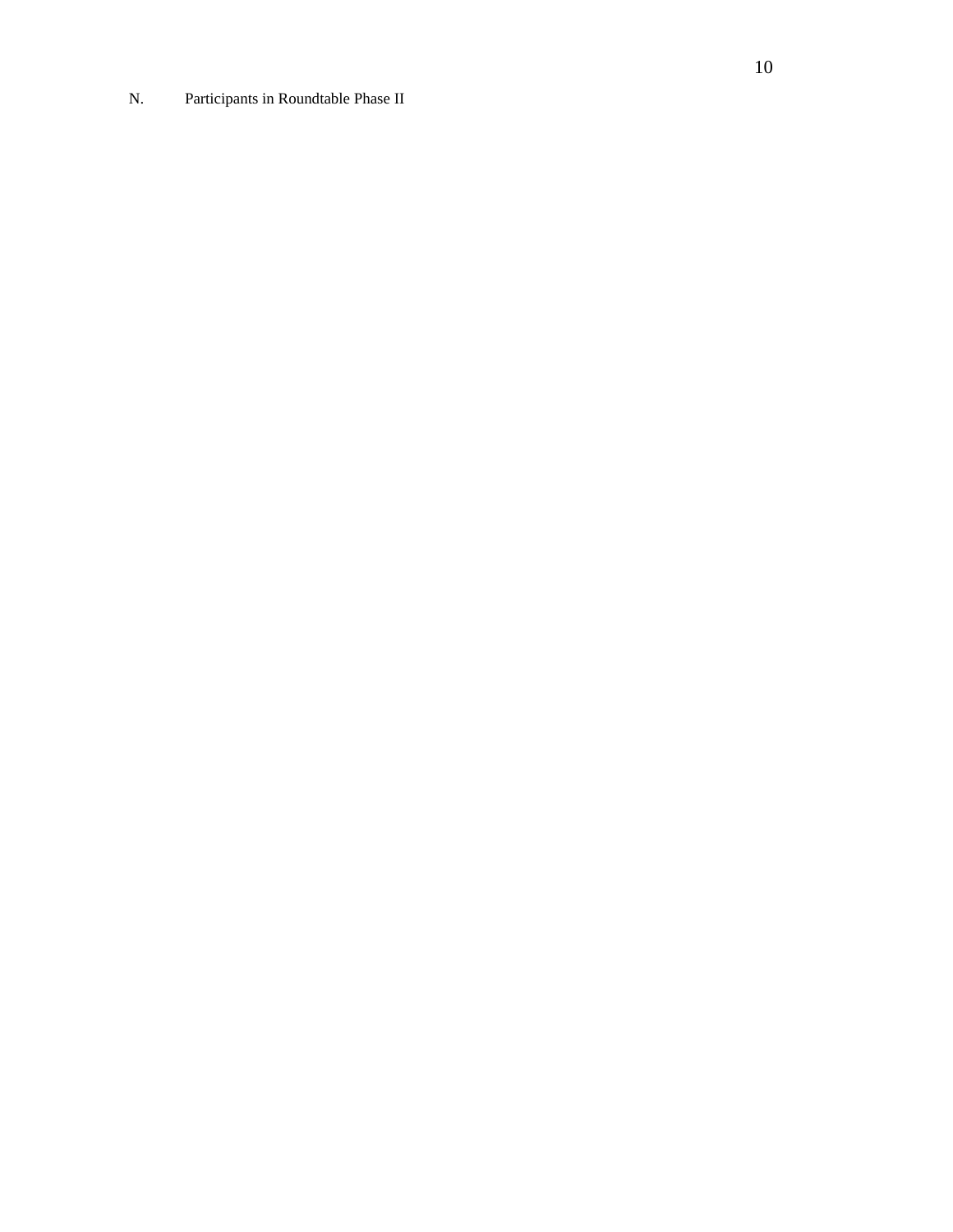N. Participants in Roundtable Phase II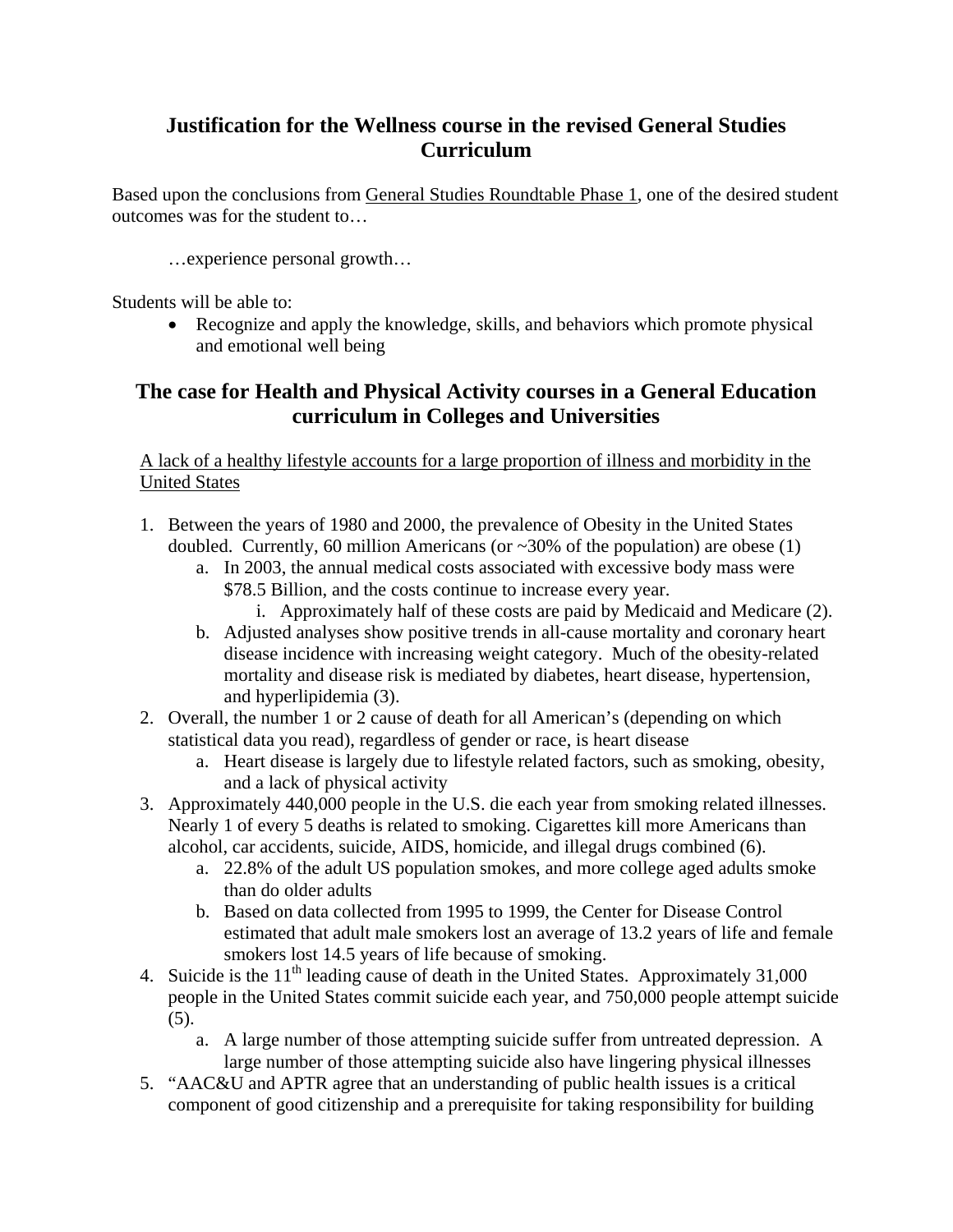## **Justification for the Wellness course in the revised General Studies Curriculum**

Based upon the conclusions from General Studies Roundtable Phase 1, one of the desired student outcomes was for the student to…

…experience personal growth…

Students will be able to:

• Recognize and apply the knowledge, skills, and behaviors which promote physical and emotional well being

## **The case for Health and Physical Activity courses in a General Education curriculum in Colleges and Universities**

A lack of a healthy lifestyle accounts for a large proportion of illness and morbidity in the United States

- 1. Between the years of 1980 and 2000, the prevalence of Obesity in the United States doubled. Currently, 60 million Americans (or  $\sim$ 30% of the population) are obese (1)
	- a. In 2003, the annual medical costs associated with excessive body mass were \$78.5 Billion, and the costs continue to increase every year.
		- i. Approximately half of these costs are paid by Medicaid and Medicare (2).
	- b. Adjusted analyses show positive trends in all-cause mortality and coronary heart disease incidence with increasing weight category. Much of the obesity-related mortality and disease risk is mediated by diabetes, heart disease, hypertension, and hyperlipidemia (3).
- 2. Overall, the number 1 or 2 cause of death for all American's (depending on which statistical data you read), regardless of gender or race, is heart disease
	- a. Heart disease is largely due to lifestyle related factors, such as smoking, obesity, and a lack of physical activity
- 3. Approximately 440,000 people in the U.S. die each year from smoking related illnesses. Nearly 1 of every 5 deaths is related to smoking. Cigarettes kill more Americans than alcohol, car accidents, suicide, AIDS, homicide, and illegal drugs combined (6).
	- a. 22.8% of the adult US population smokes, and more college aged adults smoke than do older adults
	- b. Based on data collected from 1995 to 1999, the Center for Disease Control estimated that adult male smokers lost an average of 13.2 years of life and female smokers lost 14.5 years of life because of smoking.
- 4. Suicide is the  $11<sup>th</sup>$  leading cause of death in the United States. Approximately 31,000 people in the United States commit suicide each year, and 750,000 people attempt suicide (5).
	- a. A large number of those attempting suicide suffer from untreated depression. A large number of those attempting suicide also have lingering physical illnesses
- 5. "AAC&U and APTR agree that an understanding of public health issues is a critical component of good citizenship and a prerequisite for taking responsibility for building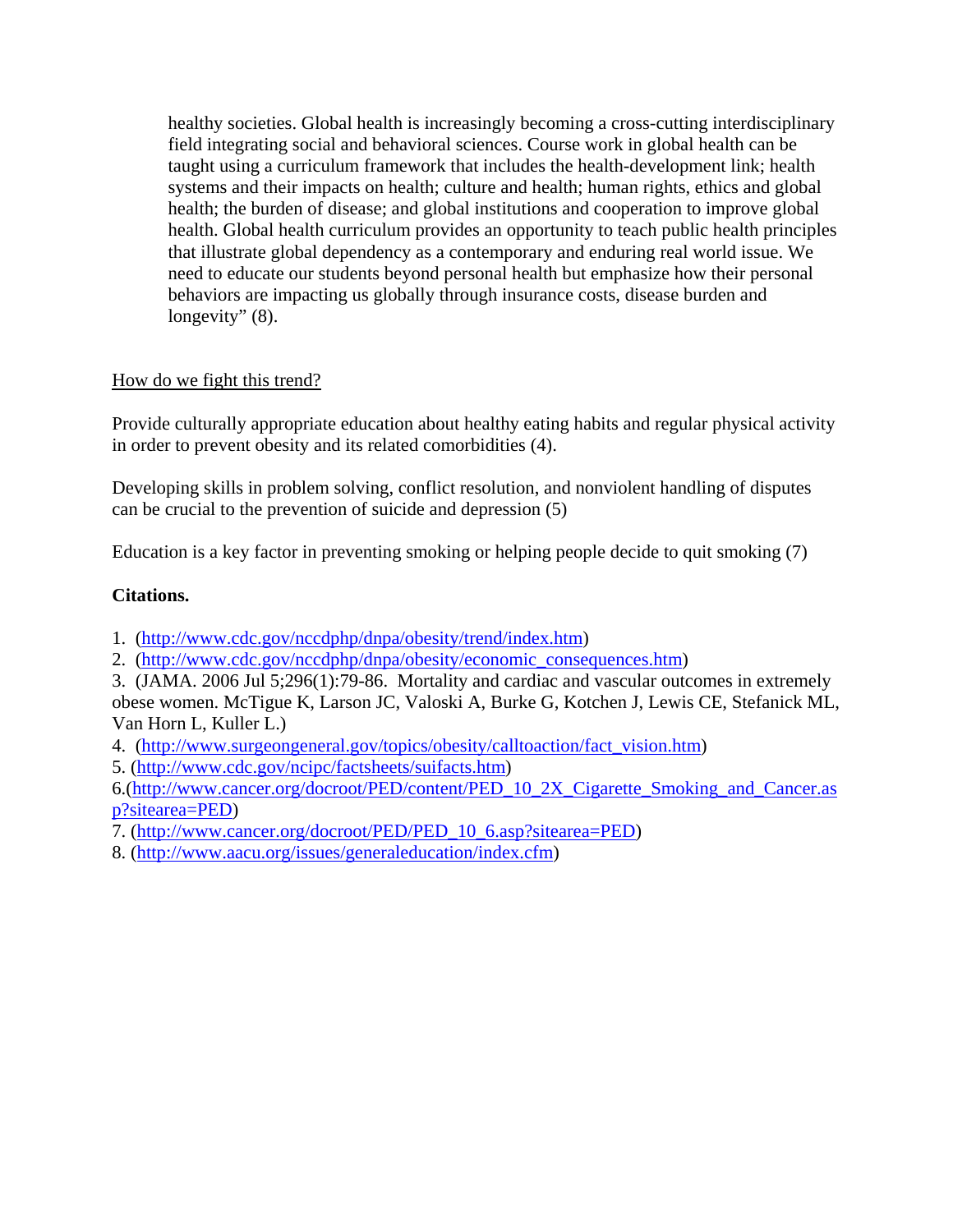healthy societies. Global health is increasingly becoming a cross-cutting interdisciplinary field integrating social and behavioral sciences. Course work in global health can be taught using a curriculum framework that includes the health-development link; health systems and their impacts on health; culture and health; human rights, ethics and global health; the burden of disease; and global institutions and cooperation to improve global health. Global health curriculum provides an opportunity to teach public health principles that illustrate global dependency as a contemporary and enduring real world issue. We need to educate our students beyond personal health but emphasize how their personal behaviors are impacting us globally through insurance costs, disease burden and longevity" (8).

## How do we fight this trend?

Provide culturally appropriate education about healthy eating habits and regular physical activity in order to prevent obesity and its related comorbidities (4).

Developing skills in problem solving, conflict resolution, and nonviolent handling of disputes can be crucial to the prevention of suicide and depression (5)

Education is a key factor in preventing smoking or helping people decide to quit smoking (7)

## **Citations.**

1. (http://www.cdc.gov/nccdphp/dnpa/obesity/trend/index.htm)

2. (http://www.cdc.gov/nccdphp/dnpa/obesity/economic\_consequences.htm)

3. (JAMA. 2006 Jul 5;296(1):79-86. Mortality and cardiac and vascular outcomes in extremely obese women. McTigue K, Larson JC, Valoski A, Burke G, Kotchen J, Lewis CE, Stefanick ML, Van Horn L, Kuller L.)

- 4. (http://www.surgeongeneral.gov/topics/obesity/calltoaction/fact\_vision.htm)
- 5. (http://www.cdc.gov/ncipc/factsheets/suifacts.htm)

6.(http://www.cancer.org/docroot/PED/content/PED\_10\_2X\_Cigarette\_Smoking\_and\_Cancer.as p?sitearea=PED)

- 7. (http://www.cancer.org/docroot/PED/PED\_10\_6.asp?sitearea=PED)
- 8. (http://www.aacu.org/issues/generaleducation/index.cfm)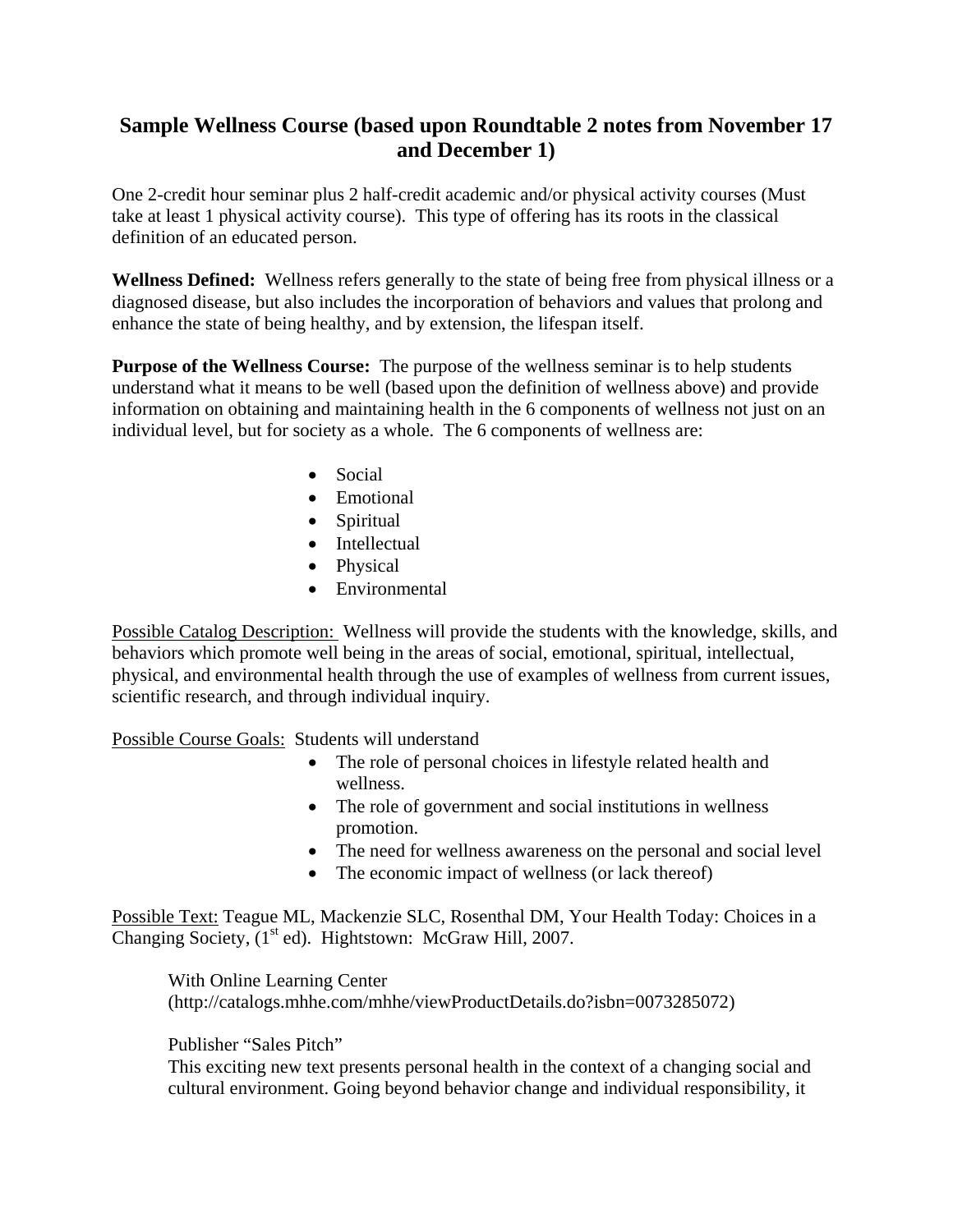## **Sample Wellness Course (based upon Roundtable 2 notes from November 17 and December 1)**

One 2-credit hour seminar plus 2 half-credit academic and/or physical activity courses (Must take at least 1 physical activity course). This type of offering has its roots in the classical definition of an educated person.

**Wellness Defined:** Wellness refers generally to the state of being free from physical illness or a diagnosed disease, but also includes the incorporation of behaviors and values that prolong and enhance the state of being healthy, and by extension, the lifespan itself.

**Purpose of the Wellness Course:** The purpose of the wellness seminar is to help students understand what it means to be well (based upon the definition of wellness above) and provide information on obtaining and maintaining health in the 6 components of wellness not just on an individual level, but for society as a whole. The 6 components of wellness are:

- Social
- Emotional
- Spiritual
- Intellectual
- Physical
- Environmental

Possible Catalog Description: Wellness will provide the students with the knowledge, skills, and behaviors which promote well being in the areas of social, emotional, spiritual, intellectual, physical, and environmental health through the use of examples of wellness from current issues, scientific research, and through individual inquiry.

Possible Course Goals: Students will understand

- The role of personal choices in lifestyle related health and wellness.
- The role of government and social institutions in wellness promotion.
- The need for wellness awareness on the personal and social level
- The economic impact of wellness (or lack thereof)

Possible Text: Teague ML, Mackenzie SLC, Rosenthal DM, Your Health Today: Choices in a Changing Society, (1<sup>st</sup> ed). Hightstown: McGraw Hill, 2007.

With Online Learning Center (http://catalogs.mhhe.com/mhhe/viewProductDetails.do?isbn=0073285072)

## Publisher "Sales Pitch"

This exciting new text presents personal health in the context of a changing social and cultural environment. Going beyond behavior change and individual responsibility, it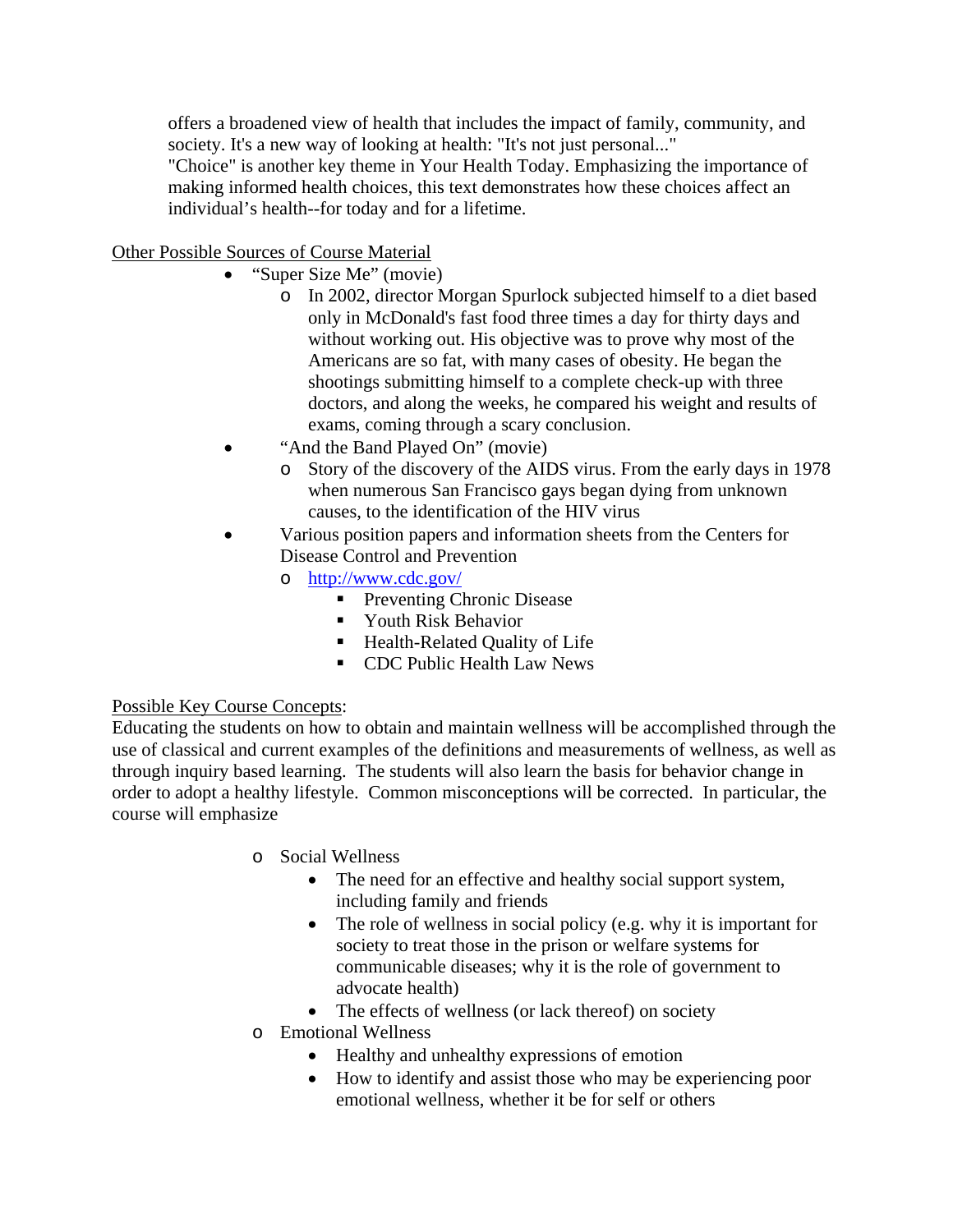offers a broadened view of health that includes the impact of family, community, and society. It's a new way of looking at health: "It's not just personal..."

"Choice" is another key theme in Your Health Today. Emphasizing the importance of making informed health choices, this text demonstrates how these choices affect an individual's health--for today and for a lifetime.

Other Possible Sources of Course Material

- "Super Size Me" (movie)
	- o In 2002, director Morgan Spurlock subjected himself to a diet based only in McDonald's fast food three times a day for thirty days and without working out. His objective was to prove why most of the Americans are so fat, with many cases of obesity. He began the shootings submitting himself to a complete check-up with three doctors, and along the weeks, he compared his weight and results of exams, coming through a scary conclusion.
- "And the Band Played On" (movie)
	- o Story of the discovery of the AIDS virus. From the early days in 1978 when numerous San Francisco gays began dying from unknown causes, to the identification of the HIV virus
- Various position papers and information sheets from the Centers for Disease Control and Prevention
	- o http://www.cdc.gov/
		- **Preventing Chronic Disease**
		- **E** Youth Risk Behavior
		- Health-Related Quality of Life
		- **CDC** Public Health Law News

## Possible Key Course Concepts:

Educating the students on how to obtain and maintain wellness will be accomplished through the use of classical and current examples of the definitions and measurements of wellness, as well as through inquiry based learning. The students will also learn the basis for behavior change in order to adopt a healthy lifestyle. Common misconceptions will be corrected. In particular, the course will emphasize

- o Social Wellness
	- The need for an effective and healthy social support system, including family and friends
	- The role of wellness in social policy (e.g. why it is important for society to treat those in the prison or welfare systems for communicable diseases; why it is the role of government to advocate health)
	- The effects of wellness (or lack thereof) on society
- o Emotional Wellness
	- Healthy and unhealthy expressions of emotion
	- How to identify and assist those who may be experiencing poor emotional wellness, whether it be for self or others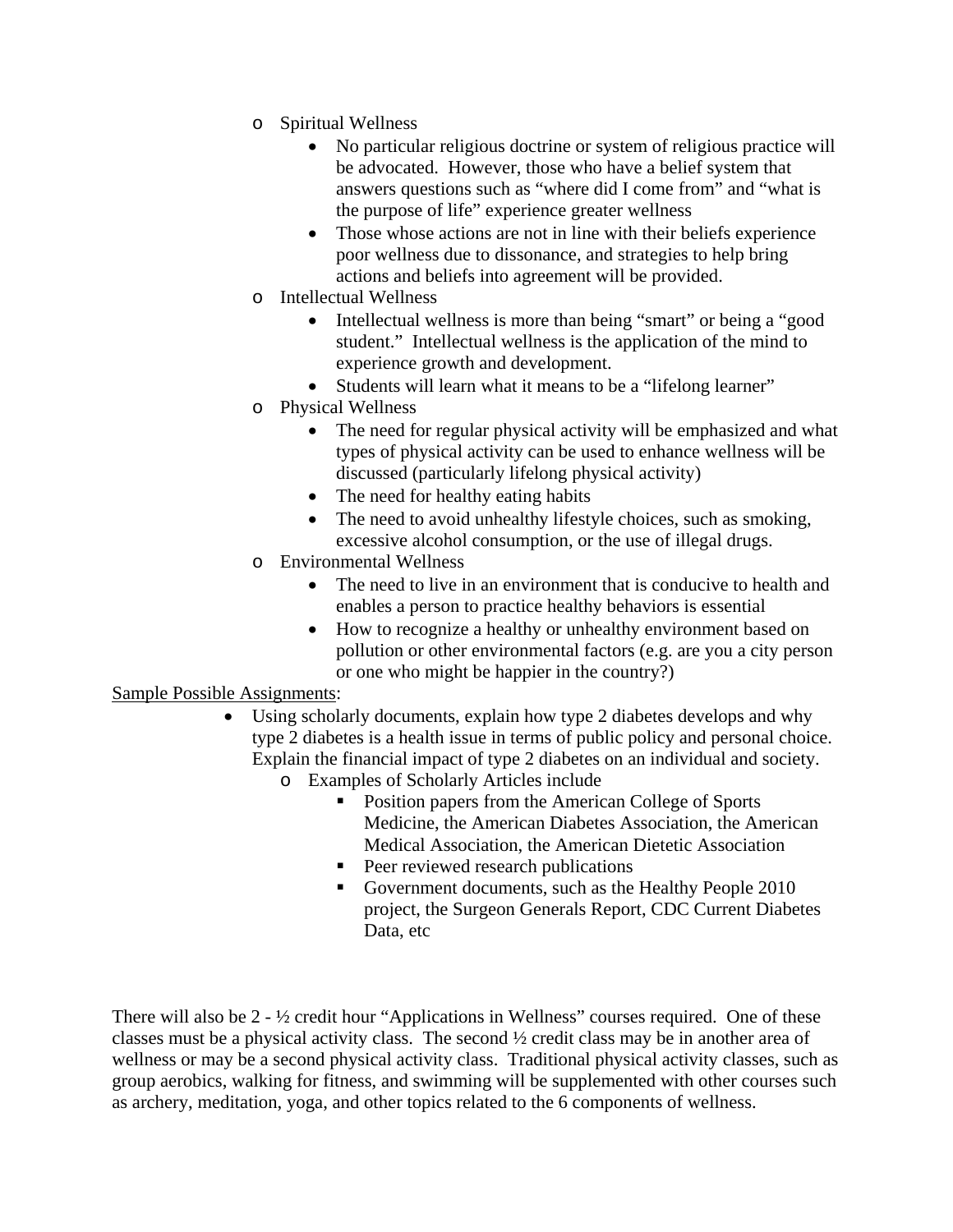- o Spiritual Wellness
	- No particular religious doctrine or system of religious practice will be advocated. However, those who have a belief system that answers questions such as "where did I come from" and "what is the purpose of life" experience greater wellness
	- Those whose actions are not in line with their beliefs experience poor wellness due to dissonance, and strategies to help bring actions and beliefs into agreement will be provided.
- o Intellectual Wellness
	- Intellectual wellness is more than being "smart" or being a "good" student." Intellectual wellness is the application of the mind to experience growth and development.
	- Students will learn what it means to be a "lifelong learner"
- o Physical Wellness
	- The need for regular physical activity will be emphasized and what types of physical activity can be used to enhance wellness will be discussed (particularly lifelong physical activity)
	- The need for healthy eating habits
	- The need to avoid unhealthy lifestyle choices, such as smoking, excessive alcohol consumption, or the use of illegal drugs.
- o Environmental Wellness
	- The need to live in an environment that is conducive to health and enables a person to practice healthy behaviors is essential
	- How to recognize a healthy or unhealthy environment based on pollution or other environmental factors (e.g. are you a city person or one who might be happier in the country?)

## Sample Possible Assignments:

- Using scholarly documents, explain how type 2 diabetes develops and why type 2 diabetes is a health issue in terms of public policy and personal choice. Explain the financial impact of type 2 diabetes on an individual and society.
	- o Examples of Scholarly Articles include
		- Position papers from the American College of Sports Medicine, the American Diabetes Association, the American Medical Association, the American Dietetic Association
		- Peer reviewed research publications
		- Government documents, such as the Healthy People 2010 project, the Surgeon Generals Report, CDC Current Diabetes Data, etc

There will also be 2 - ½ credit hour "Applications in Wellness" courses required. One of these classes must be a physical activity class. The second ½ credit class may be in another area of wellness or may be a second physical activity class. Traditional physical activity classes, such as group aerobics, walking for fitness, and swimming will be supplemented with other courses such as archery, meditation, yoga, and other topics related to the 6 components of wellness.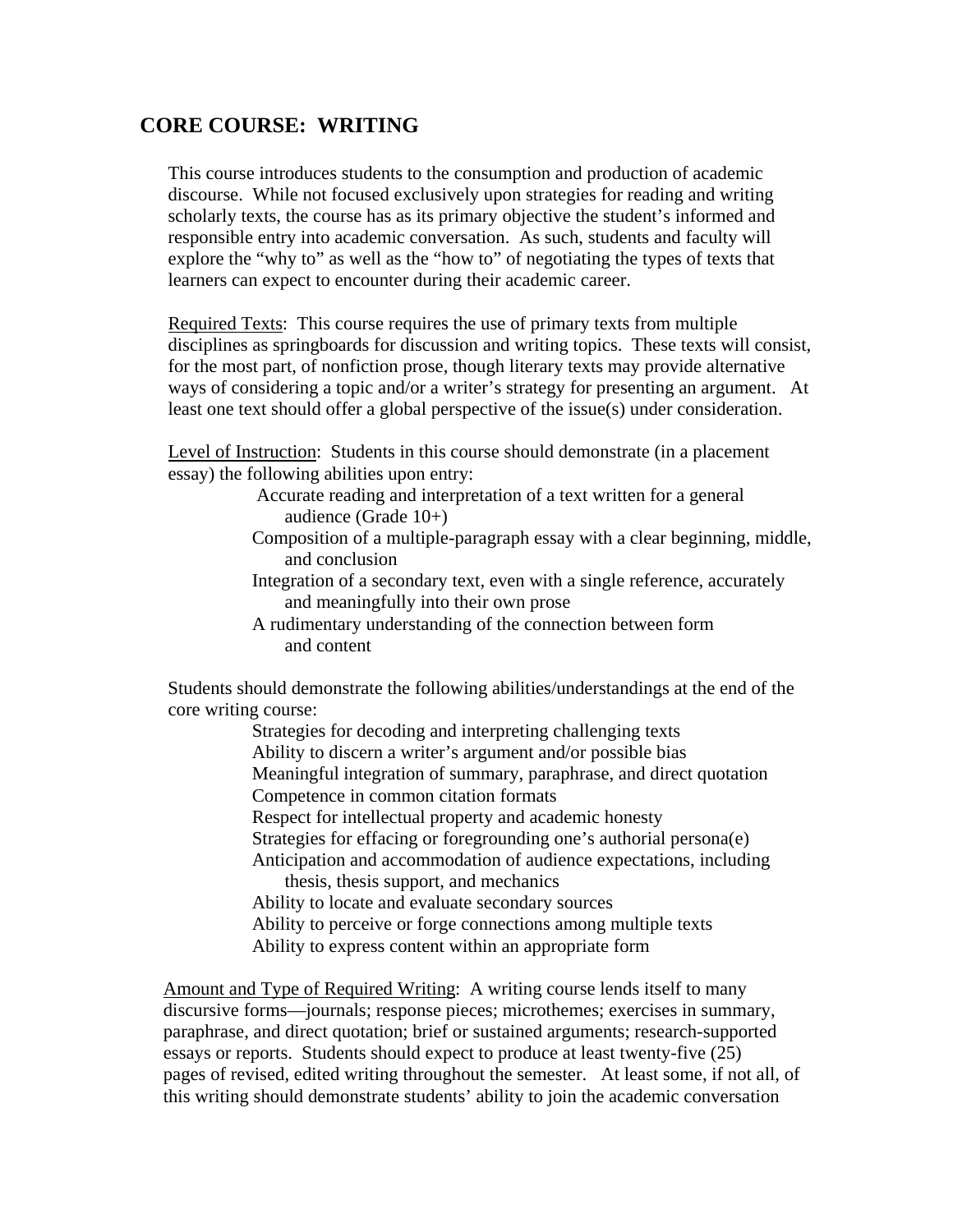## **CORE COURSE: WRITING**

This course introduces students to the consumption and production of academic discourse. While not focused exclusively upon strategies for reading and writing scholarly texts, the course has as its primary objective the student's informed and responsible entry into academic conversation. As such, students and faculty will explore the "why to" as well as the "how to" of negotiating the types of texts that learners can expect to encounter during their academic career.

Required Texts: This course requires the use of primary texts from multiple disciplines as springboards for discussion and writing topics. These texts will consist, for the most part, of nonfiction prose, though literary texts may provide alternative ways of considering a topic and/or a writer's strategy for presenting an argument. At least one text should offer a global perspective of the issue(s) under consideration.

Level of Instruction: Students in this course should demonstrate (in a placement essay) the following abilities upon entry:

> Accurate reading and interpretation of a text written for a general audience (Grade 10+)

- Composition of a multiple-paragraph essay with a clear beginning, middle, and conclusion
- Integration of a secondary text, even with a single reference, accurately and meaningfully into their own prose
- A rudimentary understanding of the connection between form and content

 Students should demonstrate the following abilities/understandings at the end of the core writing course:

Strategies for decoding and interpreting challenging texts

Ability to discern a writer's argument and/or possible bias

 Meaningful integration of summary, paraphrase, and direct quotation Competence in common citation formats

Respect for intellectual property and academic honesty

Strategies for effacing or foregrounding one's authorial persona(e)

 Anticipation and accommodation of audience expectations, including thesis, thesis support, and mechanics

Ability to locate and evaluate secondary sources

Ability to perceive or forge connections among multiple texts

Ability to express content within an appropriate form

 Amount and Type of Required Writing: A writing course lends itself to many discursive forms—journals; response pieces; microthemes; exercises in summary, paraphrase, and direct quotation; brief or sustained arguments; research-supported essays or reports. Students should expect to produce at least twenty-five (25) pages of revised, edited writing throughout the semester. At least some, if not all, of this writing should demonstrate students' ability to join the academic conversation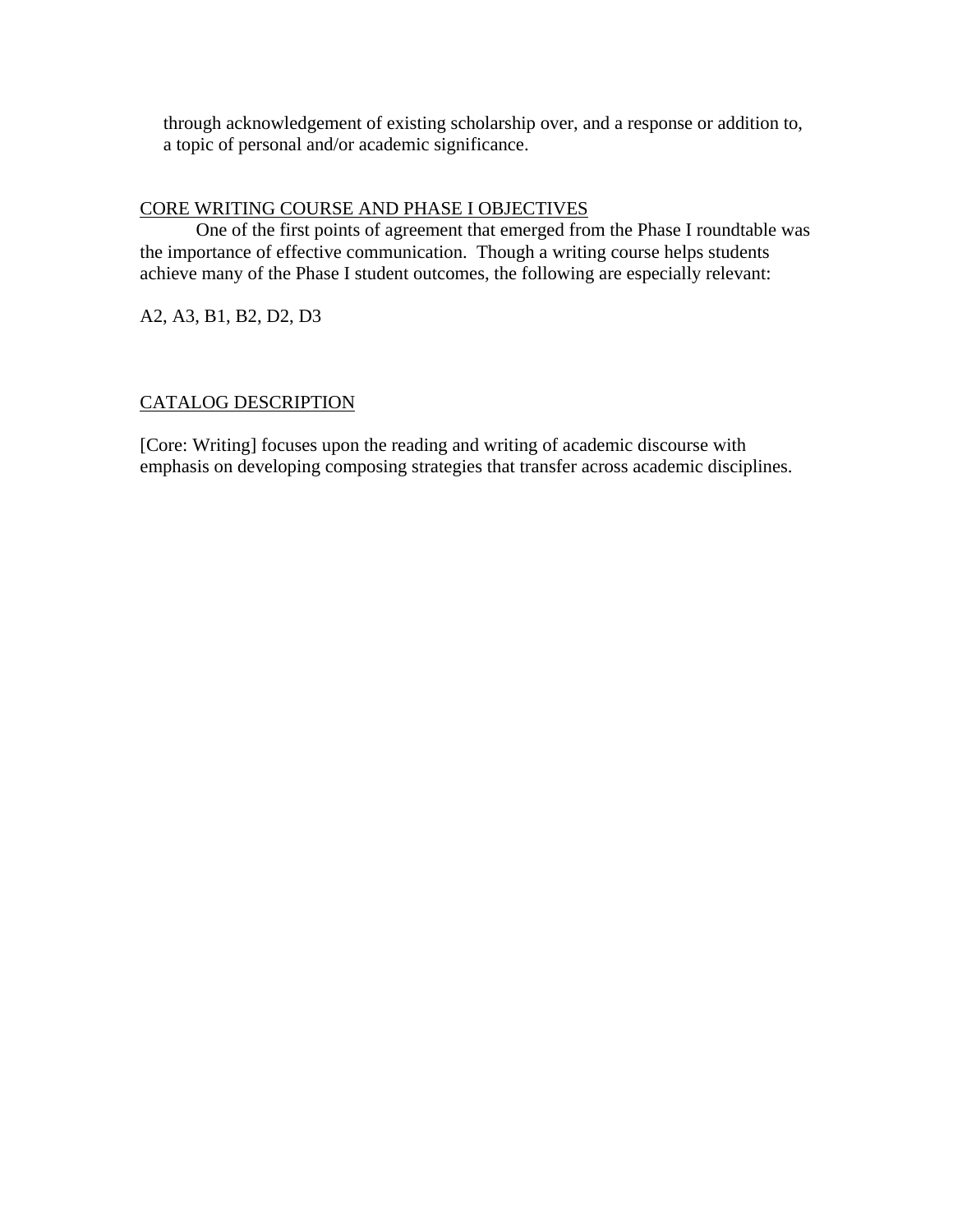through acknowledgement of existing scholarship over, and a response or addition to, a topic of personal and/or academic significance.

## CORE WRITING COURSE AND PHASE I OBJECTIVES

 One of the first points of agreement that emerged from the Phase I roundtable was the importance of effective communication. Though a writing course helps students achieve many of the Phase I student outcomes, the following are especially relevant:

A2, A3, B1, B2, D2, D3

## CATALOG DESCRIPTION

[Core: Writing] focuses upon the reading and writing of academic discourse with emphasis on developing composing strategies that transfer across academic disciplines.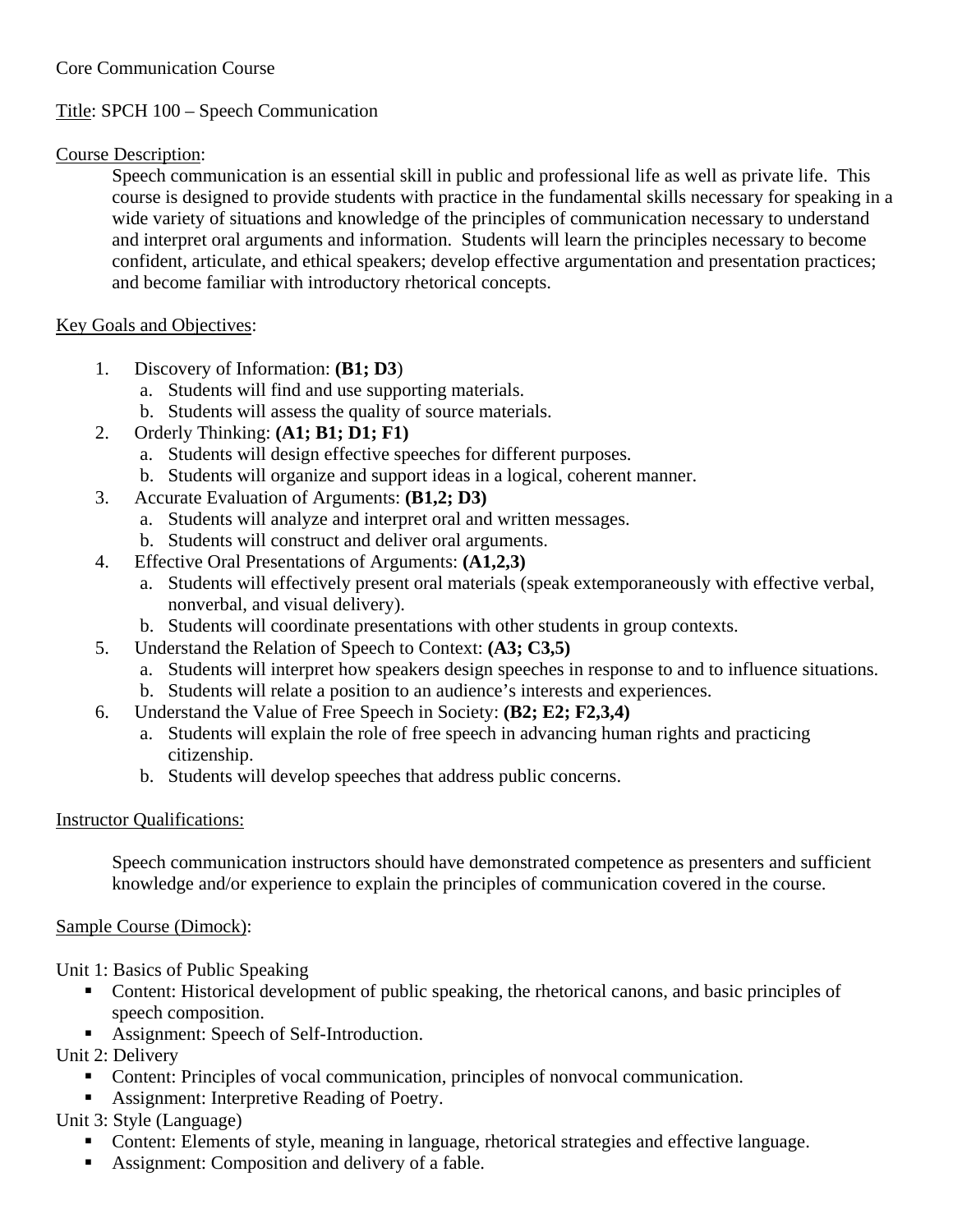## Core Communication Course

## Title: SPCH 100 – Speech Communication

## Course Description:

Speech communication is an essential skill in public and professional life as well as private life. This course is designed to provide students with practice in the fundamental skills necessary for speaking in a wide variety of situations and knowledge of the principles of communication necessary to understand and interpret oral arguments and information. Students will learn the principles necessary to become confident, articulate, and ethical speakers; develop effective argumentation and presentation practices; and become familiar with introductory rhetorical concepts.

## Key Goals and Objectives:

- 1. Discovery of Information: **(B1; D3**)
	- a. Students will find and use supporting materials.
	- b. Students will assess the quality of source materials.
- 2. Orderly Thinking: **(A1; B1; D1; F1)**
	- a. Students will design effective speeches for different purposes.
	- b. Students will organize and support ideas in a logical, coherent manner.
- 3. Accurate Evaluation of Arguments: **(B1,2; D3)**
	- a. Students will analyze and interpret oral and written messages.
	- b. Students will construct and deliver oral arguments.
- 4. Effective Oral Presentations of Arguments: **(A1,2,3)**
	- a. Students will effectively present oral materials (speak extemporaneously with effective verbal, nonverbal, and visual delivery).
	- b. Students will coordinate presentations with other students in group contexts.
- 5. Understand the Relation of Speech to Context: **(A3; C3,5)**
	- a. Students will interpret how speakers design speeches in response to and to influence situations.
	- b. Students will relate a position to an audience's interests and experiences.
- 6. Understand the Value of Free Speech in Society: **(B2; E2; F2,3,4)**
	- a. Students will explain the role of free speech in advancing human rights and practicing citizenship.
	- b. Students will develop speeches that address public concerns.

## Instructor Qualifications:

Speech communication instructors should have demonstrated competence as presenters and sufficient knowledge and/or experience to explain the principles of communication covered in the course.

## Sample Course (Dimock):

Unit 1: Basics of Public Speaking

- Content: Historical development of public speaking, the rhetorical canons, and basic principles of speech composition.
- Assignment: Speech of Self-Introduction.

Unit 2: Delivery

- Content: Principles of vocal communication, principles of nonvocal communication.
- Assignment: Interpretive Reading of Poetry.

## Unit 3: Style (Language)

- Content: Elements of style, meaning in language, rhetorical strategies and effective language.
- Assignment: Composition and delivery of a fable.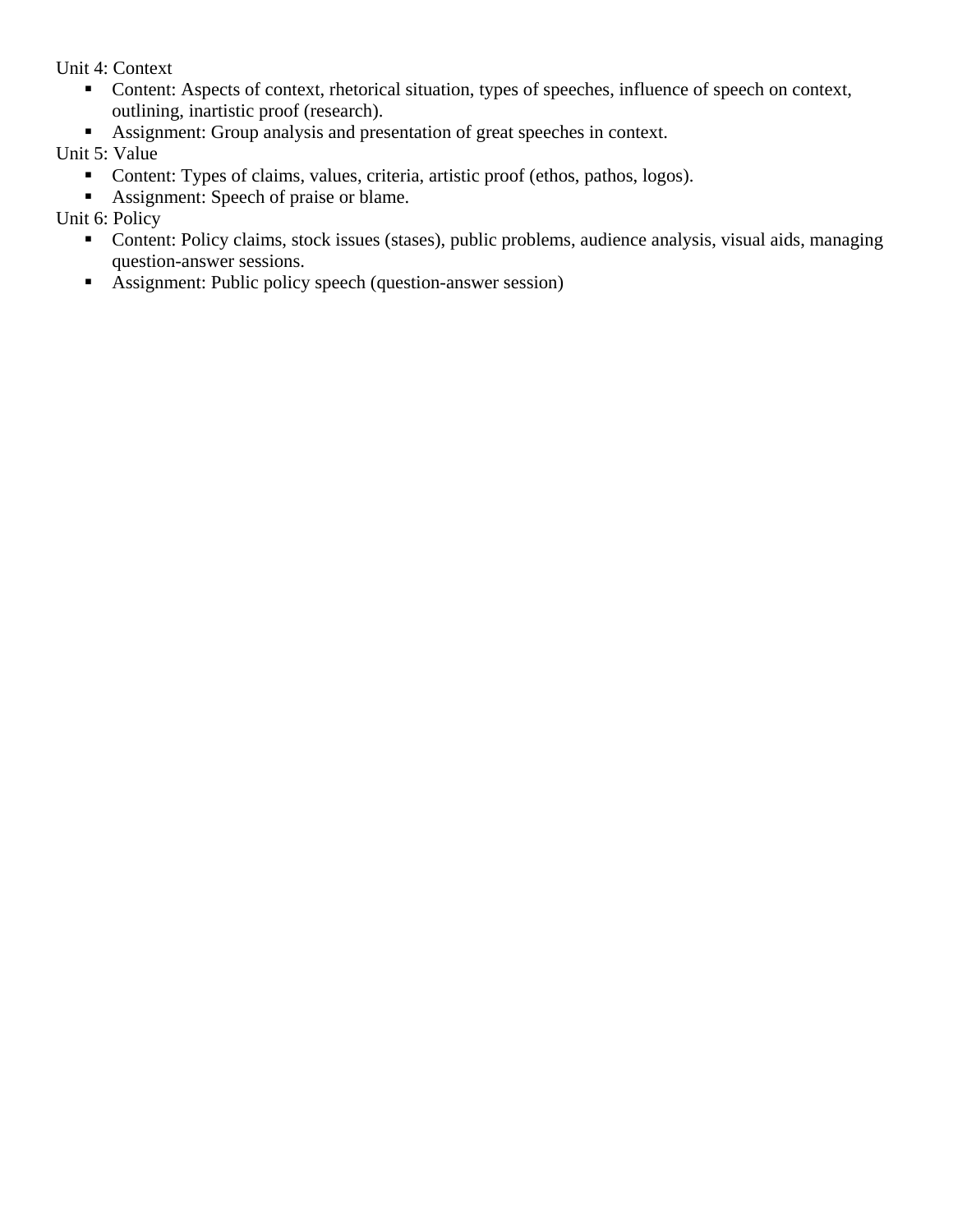Unit 4: Context

- Content: Aspects of context, rhetorical situation, types of speeches, influence of speech on context, outlining, inartistic proof (research).
- Assignment: Group analysis and presentation of great speeches in context.

Unit 5: Value

- Content: Types of claims, values, criteria, artistic proof (ethos, pathos, logos).
- Assignment: Speech of praise or blame.

Unit 6: Policy

- Content: Policy claims, stock issues (stases), public problems, audience analysis, visual aids, managing question-answer sessions.
- Assignment: Public policy speech (question-answer session)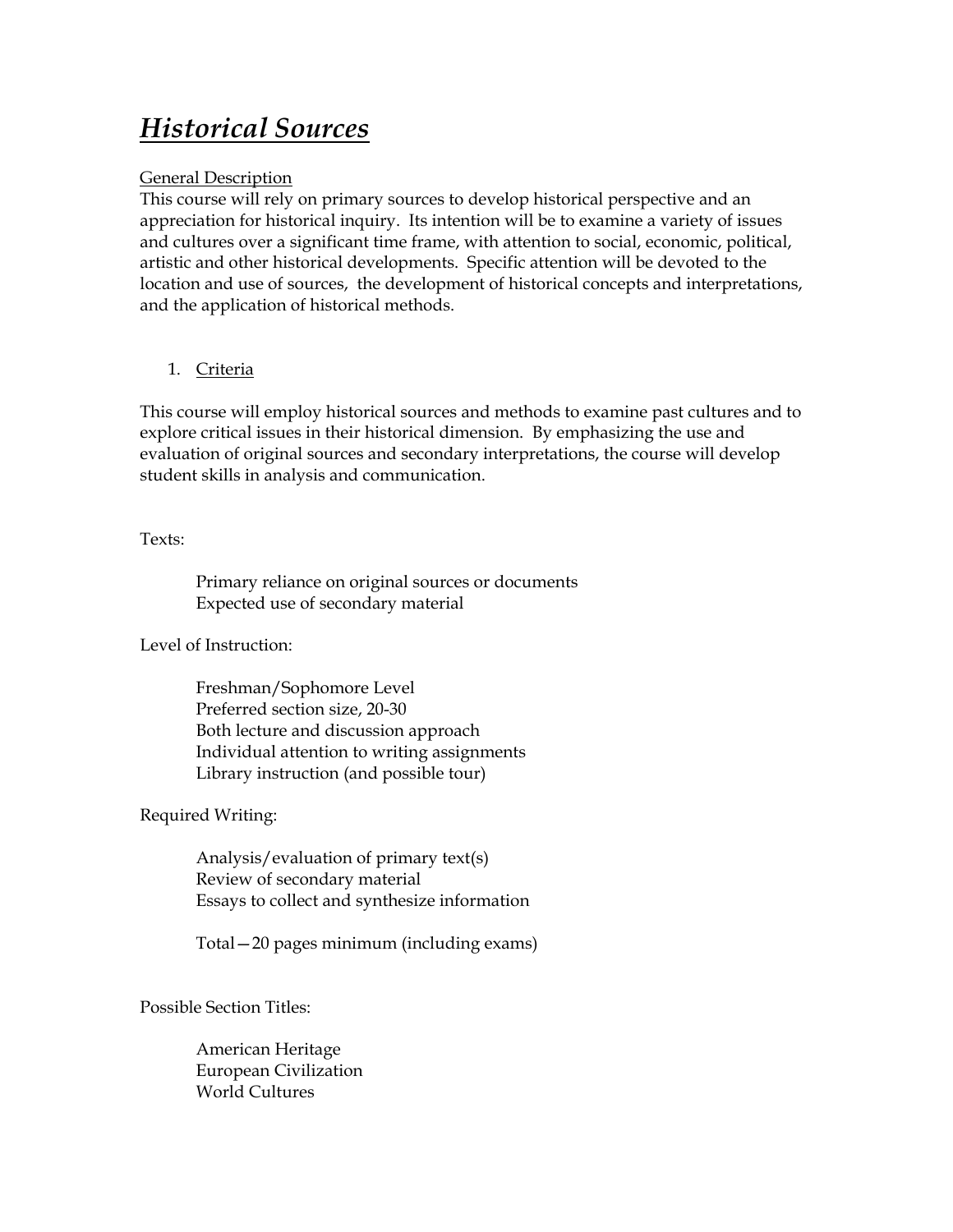# *Historical Sources*

## General Description

This course will rely on primary sources to develop historical perspective and an appreciation for historical inquiry. Its intention will be to examine a variety of issues and cultures over a significant time frame, with attention to social, economic, political, artistic and other historical developments. Specific attention will be devoted to the location and use of sources, the development of historical concepts and interpretations, and the application of historical methods.

## 1. Criteria

This course will employ historical sources and methods to examine past cultures and to explore critical issues in their historical dimension. By emphasizing the use and evaluation of original sources and secondary interpretations, the course will develop student skills in analysis and communication.

Texts:

 Primary reliance on original sources or documents Expected use of secondary material

Level of Instruction:

 Freshman/Sophomore Level Preferred section size, 20-30 Both lecture and discussion approach Individual attention to writing assignments Library instruction (and possible tour)

Required Writing:

 Analysis/evaluation of primary text(s) Review of secondary material Essays to collect and synthesize information

Total—20 pages minimum (including exams)

Possible Section Titles:

 American Heritage European Civilization World Cultures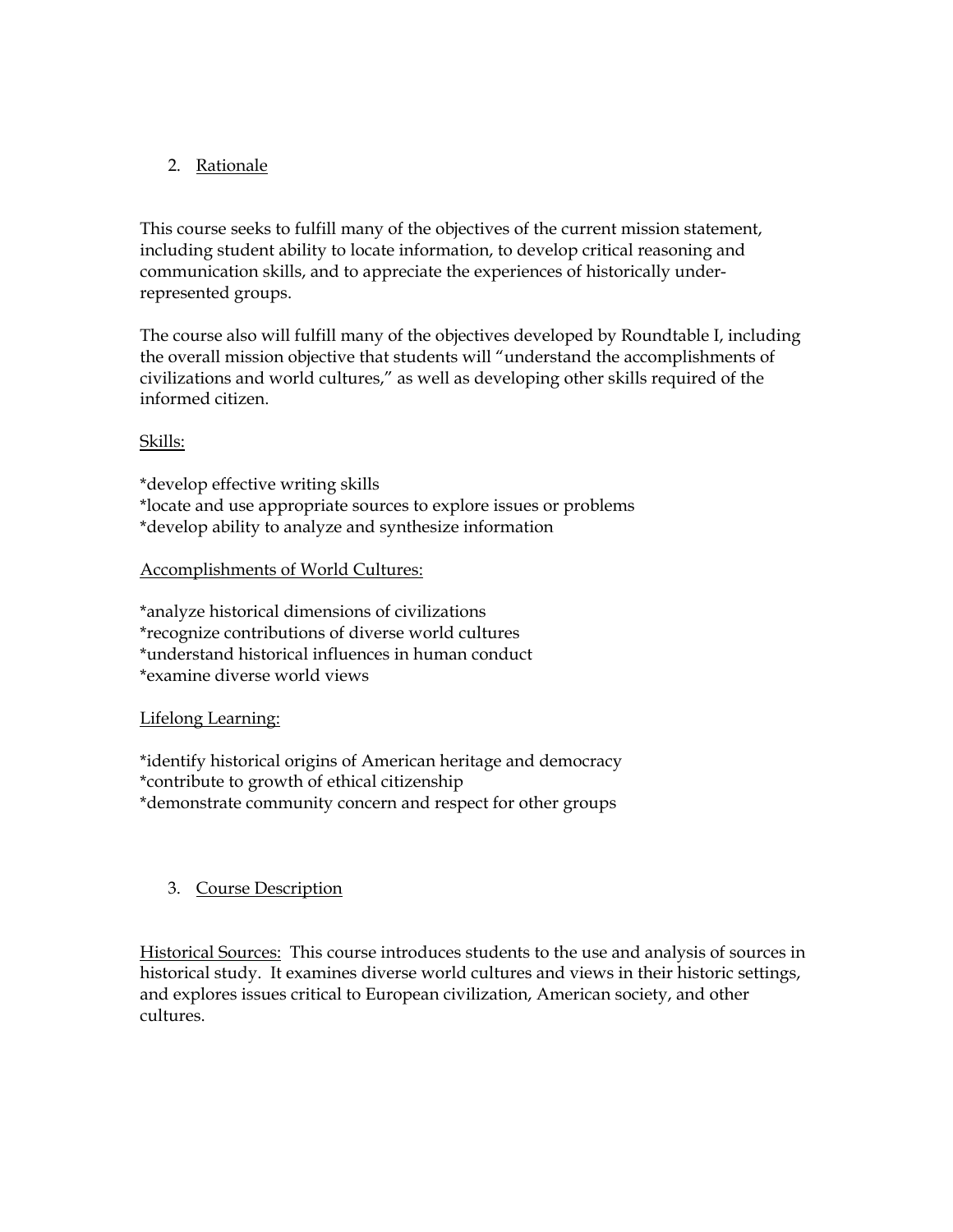## 2. Rationale

This course seeks to fulfill many of the objectives of the current mission statement, including student ability to locate information, to develop critical reasoning and communication skills, and to appreciate the experiences of historically underrepresented groups.

The course also will fulfill many of the objectives developed by Roundtable I, including the overall mission objective that students will "understand the accomplishments of civilizations and world cultures," as well as developing other skills required of the informed citizen.

## Skills:

\*develop effective writing skills \*locate and use appropriate sources to explore issues or problems \*develop ability to analyze and synthesize information

### Accomplishments of World Cultures:

\*analyze historical dimensions of civilizations \*recognize contributions of diverse world cultures \*understand historical influences in human conduct \*examine diverse world views

### Lifelong Learning:

\*identify historical origins of American heritage and democracy \*contribute to growth of ethical citizenship \*demonstrate community concern and respect for other groups

### 3. Course Description

Historical Sources: This course introduces students to the use and analysis of sources in historical study. It examines diverse world cultures and views in their historic settings, and explores issues critical to European civilization, American society, and other cultures.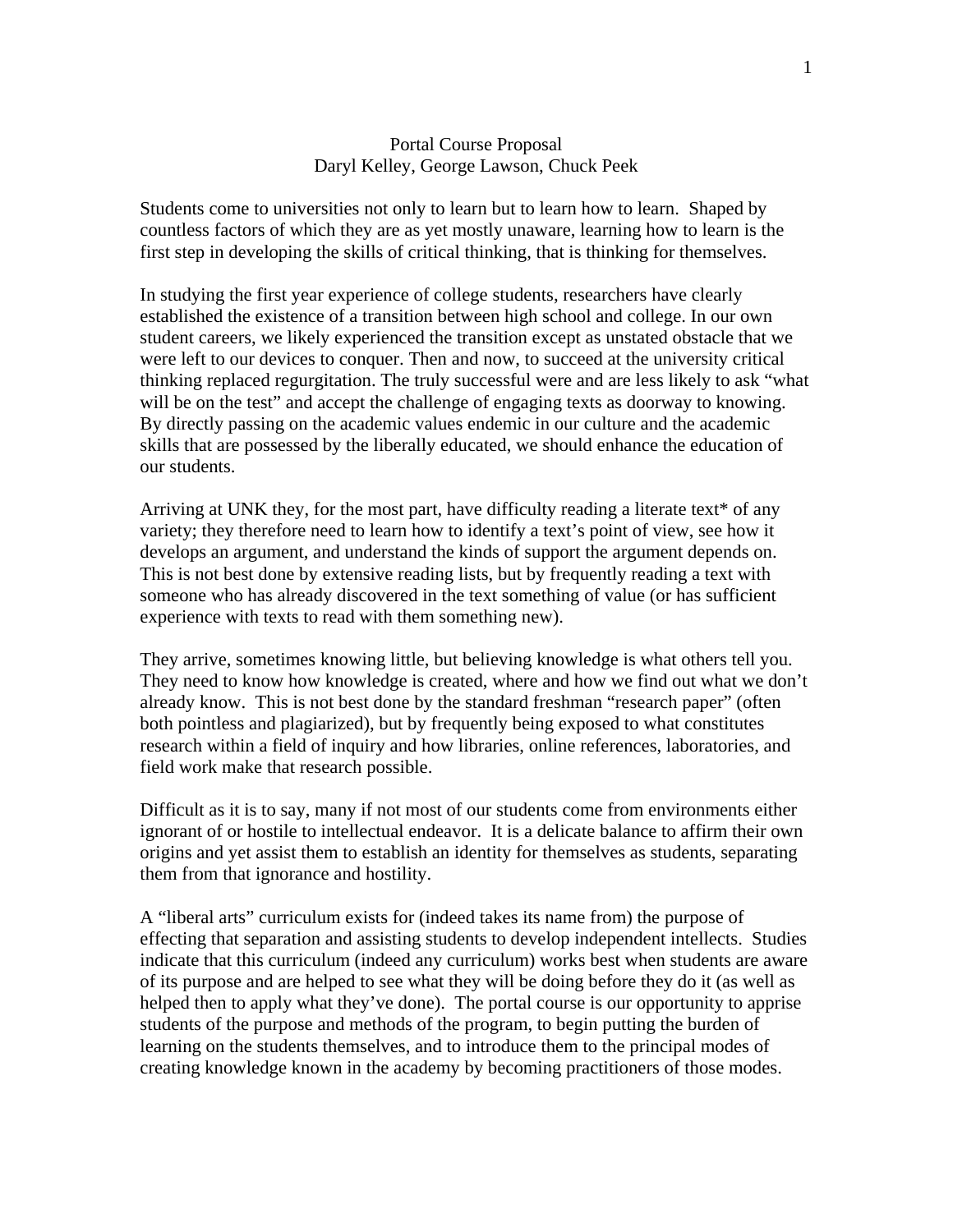#### Portal Course Proposal Daryl Kelley, George Lawson, Chuck Peek

Students come to universities not only to learn but to learn how to learn. Shaped by countless factors of which they are as yet mostly unaware, learning how to learn is the first step in developing the skills of critical thinking, that is thinking for themselves.

In studying the first year experience of college students, researchers have clearly established the existence of a transition between high school and college. In our own student careers, we likely experienced the transition except as unstated obstacle that we were left to our devices to conquer. Then and now, to succeed at the university critical thinking replaced regurgitation. The truly successful were and are less likely to ask "what will be on the test" and accept the challenge of engaging texts as doorway to knowing. By directly passing on the academic values endemic in our culture and the academic skills that are possessed by the liberally educated, we should enhance the education of our students.

Arriving at UNK they, for the most part, have difficulty reading a literate text\* of any variety; they therefore need to learn how to identify a text's point of view, see how it develops an argument, and understand the kinds of support the argument depends on. This is not best done by extensive reading lists, but by frequently reading a text with someone who has already discovered in the text something of value (or has sufficient experience with texts to read with them something new).

They arrive, sometimes knowing little, but believing knowledge is what others tell you. They need to know how knowledge is created, where and how we find out what we don't already know. This is not best done by the standard freshman "research paper" (often both pointless and plagiarized), but by frequently being exposed to what constitutes research within a field of inquiry and how libraries, online references, laboratories, and field work make that research possible.

Difficult as it is to say, many if not most of our students come from environments either ignorant of or hostile to intellectual endeavor. It is a delicate balance to affirm their own origins and yet assist them to establish an identity for themselves as students, separating them from that ignorance and hostility.

A "liberal arts" curriculum exists for (indeed takes its name from) the purpose of effecting that separation and assisting students to develop independent intellects. Studies indicate that this curriculum (indeed any curriculum) works best when students are aware of its purpose and are helped to see what they will be doing before they do it (as well as helped then to apply what they've done). The portal course is our opportunity to apprise students of the purpose and methods of the program, to begin putting the burden of learning on the students themselves, and to introduce them to the principal modes of creating knowledge known in the academy by becoming practitioners of those modes.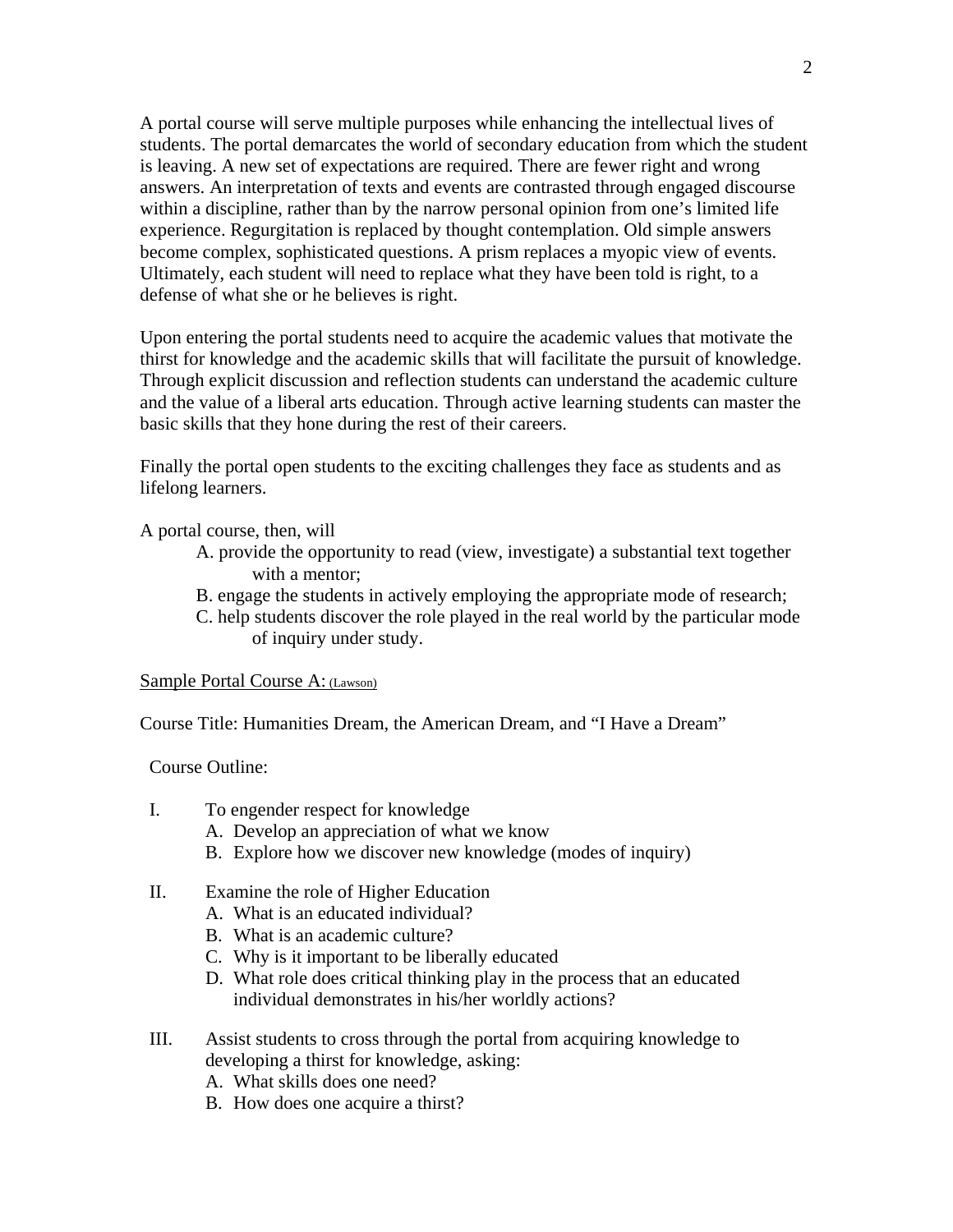A portal course will serve multiple purposes while enhancing the intellectual lives of students. The portal demarcates the world of secondary education from which the student is leaving. A new set of expectations are required. There are fewer right and wrong answers. An interpretation of texts and events are contrasted through engaged discourse within a discipline, rather than by the narrow personal opinion from one's limited life experience. Regurgitation is replaced by thought contemplation. Old simple answers become complex, sophisticated questions. A prism replaces a myopic view of events. Ultimately, each student will need to replace what they have been told is right, to a defense of what she or he believes is right.

Upon entering the portal students need to acquire the academic values that motivate the thirst for knowledge and the academic skills that will facilitate the pursuit of knowledge. Through explicit discussion and reflection students can understand the academic culture and the value of a liberal arts education. Through active learning students can master the basic skills that they hone during the rest of their careers.

Finally the portal open students to the exciting challenges they face as students and as lifelong learners.

A portal course, then, will

- A. provide the opportunity to read (view, investigate) a substantial text together with a mentor;
- B. engage the students in actively employing the appropriate mode of research;
- C. help students discover the role played in the real world by the particular mode of inquiry under study.

Sample Portal Course A: (Lawson)

Course Title: Humanities Dream, the American Dream, and "I Have a Dream"

Course Outline:

- I. To engender respect for knowledge
	- A. Develop an appreciation of what we know
	- B. Explore how we discover new knowledge (modes of inquiry)
- II. Examine the role of Higher Education
	- A. What is an educated individual?
	- B. What is an academic culture?
	- C. Why is it important to be liberally educated
	- D. What role does critical thinking play in the process that an educated individual demonstrates in his/her worldly actions?
- III. Assist students to cross through the portal from acquiring knowledge to developing a thirst for knowledge, asking:
	- A. What skills does one need?
	- B. How does one acquire a thirst?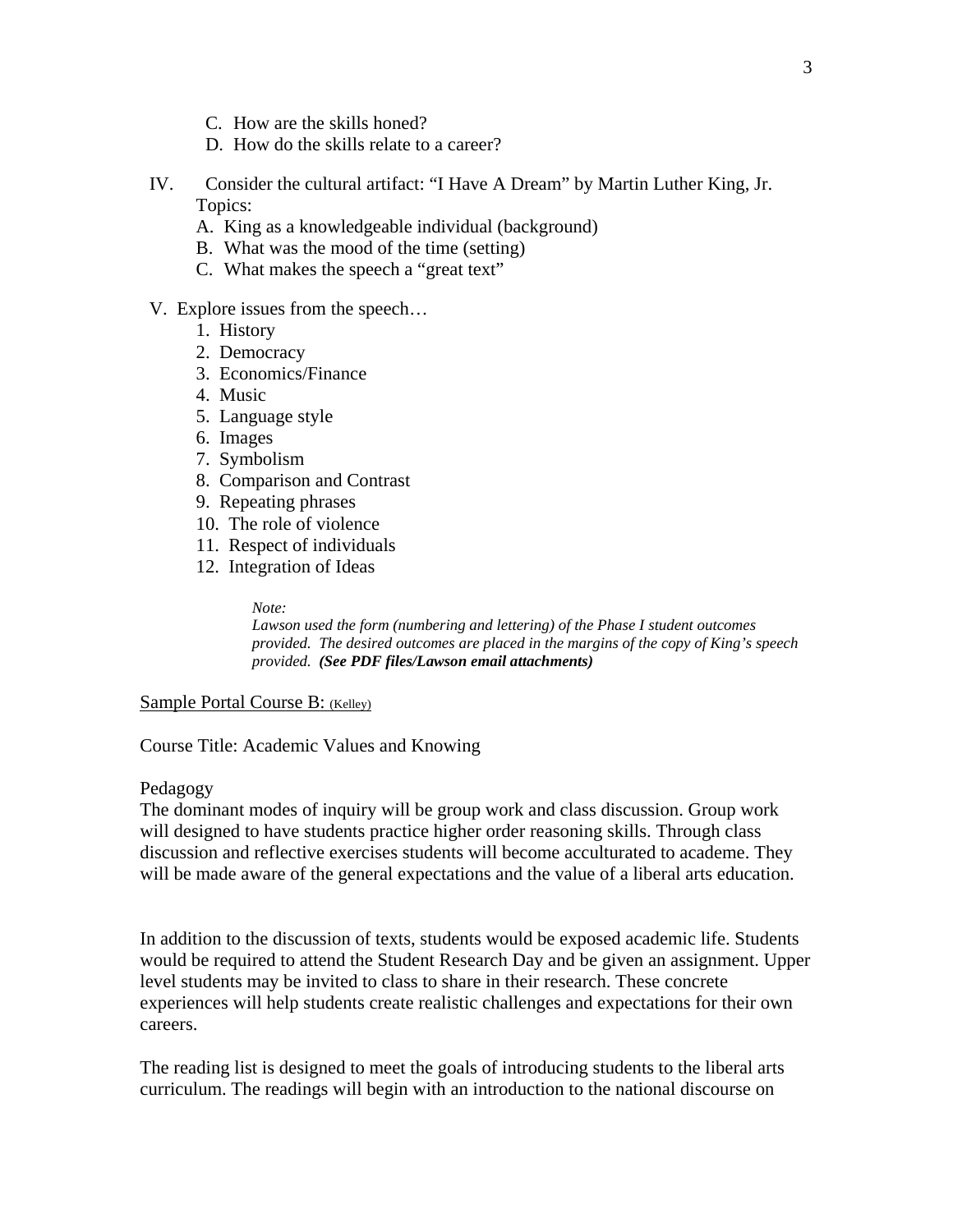- C. How are the skills honed?
- D. How do the skills relate to a career?
- IV. Consider the cultural artifact: "I Have A Dream" by Martin Luther King, Jr. Topics:
	- A. King as a knowledgeable individual (background)
	- B. What was the mood of the time (setting)
	- C. What makes the speech a "great text"

#### V. Explore issues from the speech…

- 1. History
- 2. Democracy
- 3. Economics/Finance
- 4. Music
- 5. Language style
- 6. Images
- 7. Symbolism
- 8. Comparison and Contrast
- 9. Repeating phrases
- 10. The role of violence
- 11. Respect of individuals
- 12. Integration of Ideas

#### *Note:*

*Lawson used the form (numbering and lettering) of the Phase I student outcomes provided. The desired outcomes are placed in the margins of the copy of King's speech provided. (See PDF files/Lawson email attachments)* 

#### Sample Portal Course B: (Kelley)

Course Title: Academic Values and Knowing

#### Pedagogy

The dominant modes of inquiry will be group work and class discussion. Group work will designed to have students practice higher order reasoning skills. Through class discussion and reflective exercises students will become acculturated to academe. They will be made aware of the general expectations and the value of a liberal arts education.

In addition to the discussion of texts, students would be exposed academic life. Students would be required to attend the Student Research Day and be given an assignment. Upper level students may be invited to class to share in their research. These concrete experiences will help students create realistic challenges and expectations for their own careers.

The reading list is designed to meet the goals of introducing students to the liberal arts curriculum. The readings will begin with an introduction to the national discourse on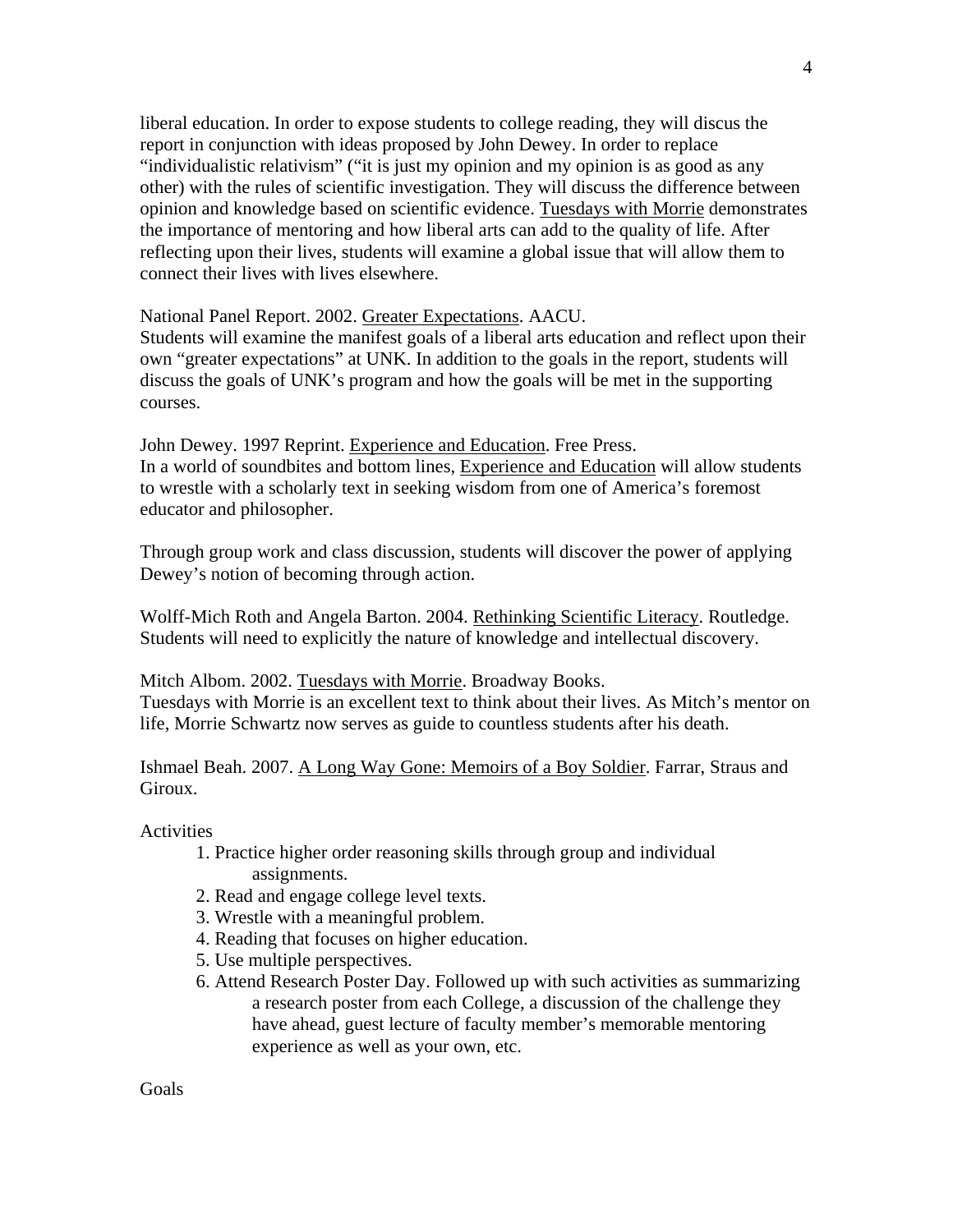liberal education. In order to expose students to college reading, they will discus the report in conjunction with ideas proposed by John Dewey. In order to replace "individualistic relativism" ("it is just my opinion and my opinion is as good as any other) with the rules of scientific investigation. They will discuss the difference between opinion and knowledge based on scientific evidence. Tuesdays with Morrie demonstrates the importance of mentoring and how liberal arts can add to the quality of life. After reflecting upon their lives, students will examine a global issue that will allow them to connect their lives with lives elsewhere.

National Panel Report. 2002. Greater Expectations. AACU.

Students will examine the manifest goals of a liberal arts education and reflect upon their own "greater expectations" at UNK. In addition to the goals in the report, students will discuss the goals of UNK's program and how the goals will be met in the supporting courses.

John Dewey. 1997 Reprint. Experience and Education. Free Press. In a world of soundbites and bottom lines, Experience and Education will allow students to wrestle with a scholarly text in seeking wisdom from one of America's foremost educator and philosopher.

Through group work and class discussion, students will discover the power of applying Dewey's notion of becoming through action.

Wolff-Mich Roth and Angela Barton. 2004. Rethinking Scientific Literacy. Routledge. Students will need to explicitly the nature of knowledge and intellectual discovery.

Mitch Albom. 2002. Tuesdays with Morrie. Broadway Books.

Tuesdays with Morrie is an excellent text to think about their lives. As Mitch's mentor on life, Morrie Schwartz now serves as guide to countless students after his death.

Ishmael Beah. 2007. A Long Way Gone: Memoirs of a Boy Soldier. Farrar, Straus and Giroux.

Activities

- 1. Practice higher order reasoning skills through group and individual assignments.
- 2. Read and engage college level texts.
- 3. Wrestle with a meaningful problem.
- 4. Reading that focuses on higher education.
- 5. Use multiple perspectives.
- 6. Attend Research Poster Day. Followed up with such activities as summarizing a research poster from each College, a discussion of the challenge they have ahead, guest lecture of faculty member's memorable mentoring experience as well as your own, etc.

Goals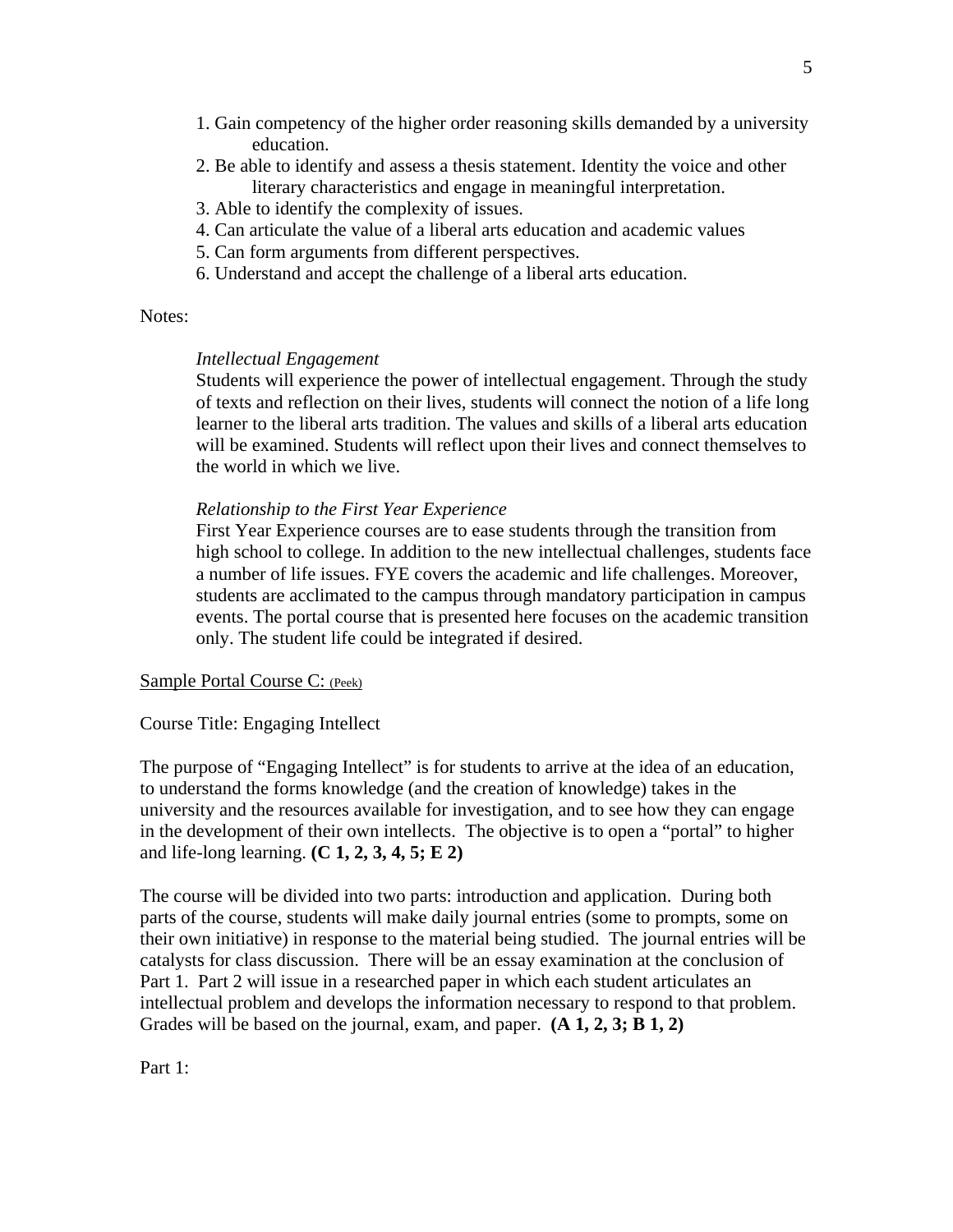- 1. Gain competency of the higher order reasoning skills demanded by a university education.
- 2. Be able to identify and assess a thesis statement. Identity the voice and other literary characteristics and engage in meaningful interpretation.
- 3. Able to identify the complexity of issues.
- 4. Can articulate the value of a liberal arts education and academic values
- 5. Can form arguments from different perspectives.
- 6. Understand and accept the challenge of a liberal arts education.

#### Notes:

#### *Intellectual Engagement*

Students will experience the power of intellectual engagement. Through the study of texts and reflection on their lives, students will connect the notion of a life long learner to the liberal arts tradition. The values and skills of a liberal arts education will be examined. Students will reflect upon their lives and connect themselves to the world in which we live.

#### *Relationship to the First Year Experience*

First Year Experience courses are to ease students through the transition from high school to college. In addition to the new intellectual challenges, students face a number of life issues. FYE covers the academic and life challenges. Moreover, students are acclimated to the campus through mandatory participation in campus events. The portal course that is presented here focuses on the academic transition only. The student life could be integrated if desired.

#### Sample Portal Course C: (Peek)

Course Title: Engaging Intellect

The purpose of "Engaging Intellect" is for students to arrive at the idea of an education, to understand the forms knowledge (and the creation of knowledge) takes in the university and the resources available for investigation, and to see how they can engage in the development of their own intellects. The objective is to open a "portal" to higher and life-long learning. **(C 1, 2, 3, 4, 5; E 2)**

The course will be divided into two parts: introduction and application. During both parts of the course, students will make daily journal entries (some to prompts, some on their own initiative) in response to the material being studied. The journal entries will be catalysts for class discussion. There will be an essay examination at the conclusion of Part 1. Part 2 will issue in a researched paper in which each student articulates an intellectual problem and develops the information necessary to respond to that problem. Grades will be based on the journal, exam, and paper. **(A 1, 2, 3; B 1, 2)**

Part 1: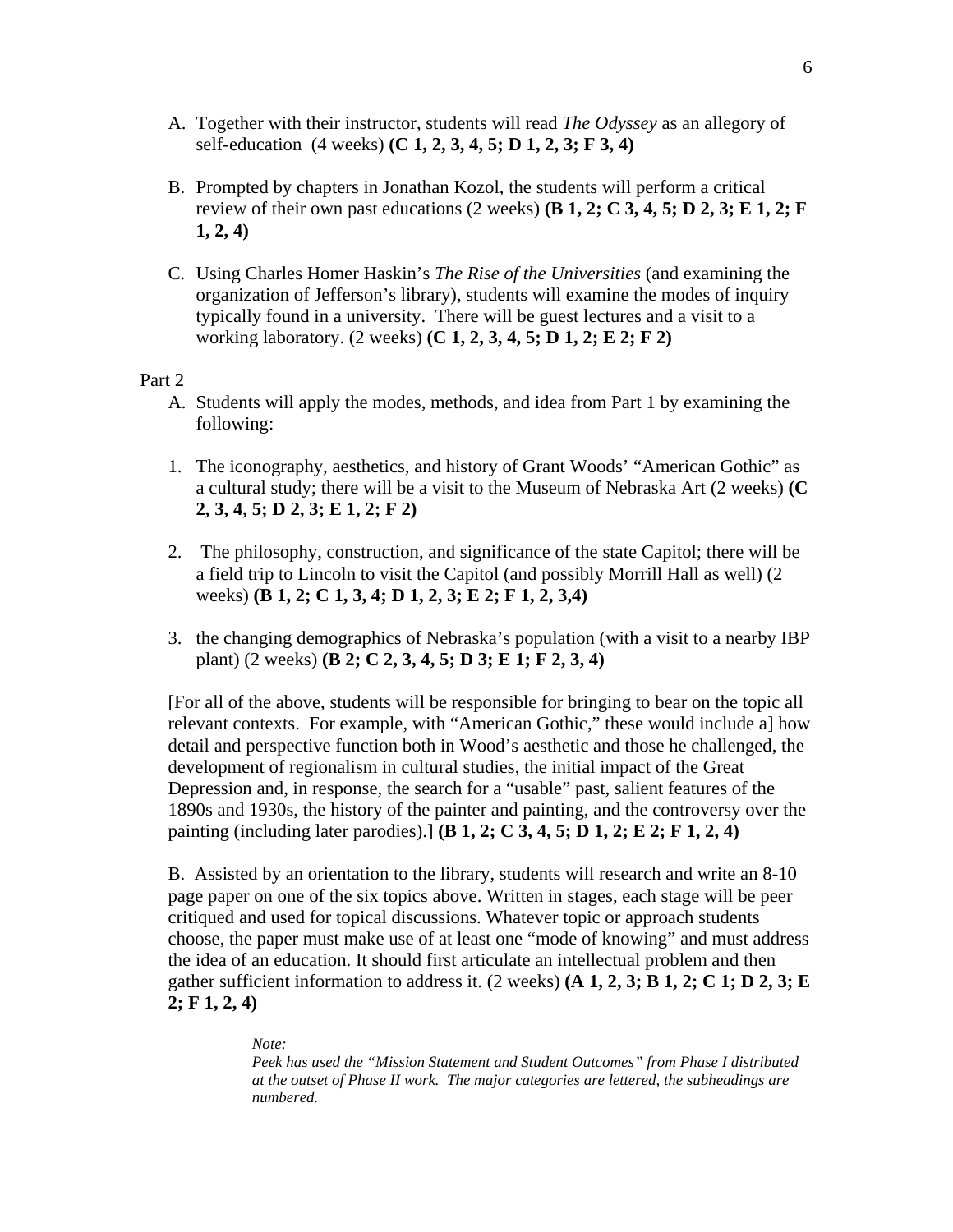- A. Together with their instructor, students will read *The Odyssey* as an allegory of self-education (4 weeks) **(C 1, 2, 3, 4, 5; D 1, 2, 3; F 3, 4)**
- B. Prompted by chapters in Jonathan Kozol, the students will perform a critical review of their own past educations  $(2 \text{ weeks})$  (**B** 1, 2; C 3, 4, 5; D 2, 3; E 1, 2; F **1, 2, 4)**
- C. Using Charles Homer Haskin's *The Rise of the Universities* (and examining the organization of Jefferson's library), students will examine the modes of inquiry typically found in a university. There will be guest lectures and a visit to a working laboratory. (2 weeks) **(C 1, 2, 3, 4, 5; D 1, 2; E 2; F 2)**

Part 2

- A. Students will apply the modes, methods, and idea from Part 1 by examining the following:
- 1. The iconography, aesthetics, and history of Grant Woods' "American Gothic" as a cultural study; there will be a visit to the Museum of Nebraska Art (2 weeks) **(C 2, 3, 4, 5; D 2, 3; E 1, 2; F 2)**
- 2. The philosophy, construction, and significance of the state Capitol; there will be a field trip to Lincoln to visit the Capitol (and possibly Morrill Hall as well) (2 weeks) **(B 1, 2; C 1, 3, 4; D 1, 2, 3; E 2; F 1, 2, 3,4)**
- 3. the changing demographics of Nebraska's population (with a visit to a nearby IBP plant) (2 weeks) **(B 2; C 2, 3, 4, 5; D 3; E 1; F 2, 3, 4)**

[For all of the above, students will be responsible for bringing to bear on the topic all relevant contexts. For example, with "American Gothic," these would include a] how detail and perspective function both in Wood's aesthetic and those he challenged, the development of regionalism in cultural studies, the initial impact of the Great Depression and, in response, the search for a "usable" past, salient features of the 1890s and 1930s, the history of the painter and painting, and the controversy over the painting (including later parodies).] **(B 1, 2; C 3, 4, 5; D 1, 2; E 2; F 1, 2, 4)**

B. Assisted by an orientation to the library, students will research and write an 8-10 page paper on one of the six topics above. Written in stages, each stage will be peer critiqued and used for topical discussions. Whatever topic or approach students choose, the paper must make use of at least one "mode of knowing" and must address the idea of an education. It should first articulate an intellectual problem and then gather sufficient information to address it. (2 weeks) **(A 1, 2, 3; B 1, 2; C 1; D 2, 3; E 2; F 1, 2, 4)**

#### *Note:*

*Peek has used the "Mission Statement and Student Outcomes" from Phase I distributed at the outset of Phase II work. The major categories are lettered, the subheadings are numbered.*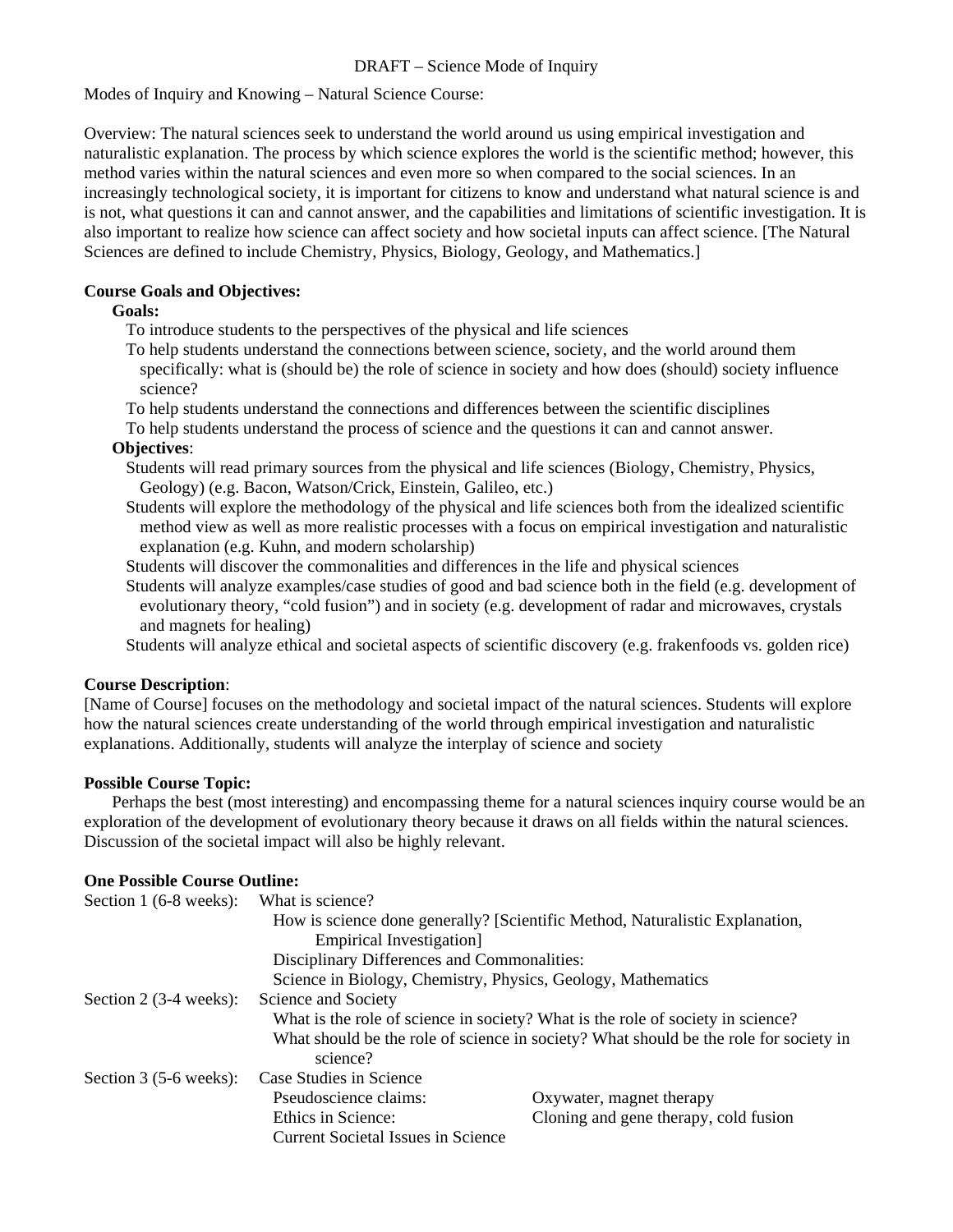#### DRAFT – Science Mode of Inquiry

Modes of Inquiry and Knowing – Natural Science Course:

Overview: The natural sciences seek to understand the world around us using empirical investigation and naturalistic explanation. The process by which science explores the world is the scientific method; however, this method varies within the natural sciences and even more so when compared to the social sciences. In an increasingly technological society, it is important for citizens to know and understand what natural science is and is not, what questions it can and cannot answer, and the capabilities and limitations of scientific investigation. It is also important to realize how science can affect society and how societal inputs can affect science. [The Natural Sciences are defined to include Chemistry, Physics, Biology, Geology, and Mathematics.]

#### **Course Goals and Objectives:**

#### **Goals:**

To introduce students to the perspectives of the physical and life sciences

- To help students understand the connections between science, society, and the world around them specifically: what is (should be) the role of science in society and how does (should) society influence science?
- To help students understand the connections and differences between the scientific disciplines
- To help students understand the process of science and the questions it can and cannot answer. **Objectives**:
	- Students will read primary sources from the physical and life sciences (Biology, Chemistry, Physics, Geology) (e.g. Bacon, Watson/Crick, Einstein, Galileo, etc.)
	- Students will explore the methodology of the physical and life sciences both from the idealized scientific method view as well as more realistic processes with a focus on empirical investigation and naturalistic explanation (e.g. Kuhn, and modern scholarship)
	- Students will discover the commonalities and differences in the life and physical sciences
	- Students will analyze examples/case studies of good and bad science both in the field (e.g. development of evolutionary theory, "cold fusion") and in society (e.g. development of radar and microwaves, crystals and magnets for healing)

Students will analyze ethical and societal aspects of scientific discovery (e.g. frakenfoods vs. golden rice)

#### **Course Description**:

[Name of Course] focuses on the methodology and societal impact of the natural sciences. Students will explore how the natural sciences create understanding of the world through empirical investigation and naturalistic explanations. Additionally, students will analyze the interplay of science and society

#### **Possible Course Topic:**

 Perhaps the best (most interesting) and encompassing theme for a natural sciences inquiry course would be an exploration of the development of evolutionary theory because it draws on all fields within the natural sciences. Discussion of the societal impact will also be highly relevant.

#### **One Possible Course Outline:**

| Section 1 (6-8 weeks):   | What is science?                                                                |                                                                                       |  |
|--------------------------|---------------------------------------------------------------------------------|---------------------------------------------------------------------------------------|--|
|                          | How is science done generally? [Scientific Method, Naturalistic Explanation,    |                                                                                       |  |
|                          | Empirical Investigation                                                         |                                                                                       |  |
|                          | Disciplinary Differences and Commonalities:                                     |                                                                                       |  |
|                          | Science in Biology, Chemistry, Physics, Geology, Mathematics                    |                                                                                       |  |
| Section 2 $(3-4$ weeks): | Science and Society                                                             |                                                                                       |  |
|                          | What is the role of science in society? What is the role of society in science? |                                                                                       |  |
|                          | science?                                                                        | What should be the role of science in society? What should be the role for society in |  |
| Section $3(5-6$ weeks):  | Case Studies in Science                                                         |                                                                                       |  |
|                          | Pseudoscience claims:                                                           | Oxywater, magnet therapy                                                              |  |
|                          | Ethics in Science:                                                              | Cloning and gene therapy, cold fusion                                                 |  |
|                          | <b>Current Societal Issues in Science</b>                                       |                                                                                       |  |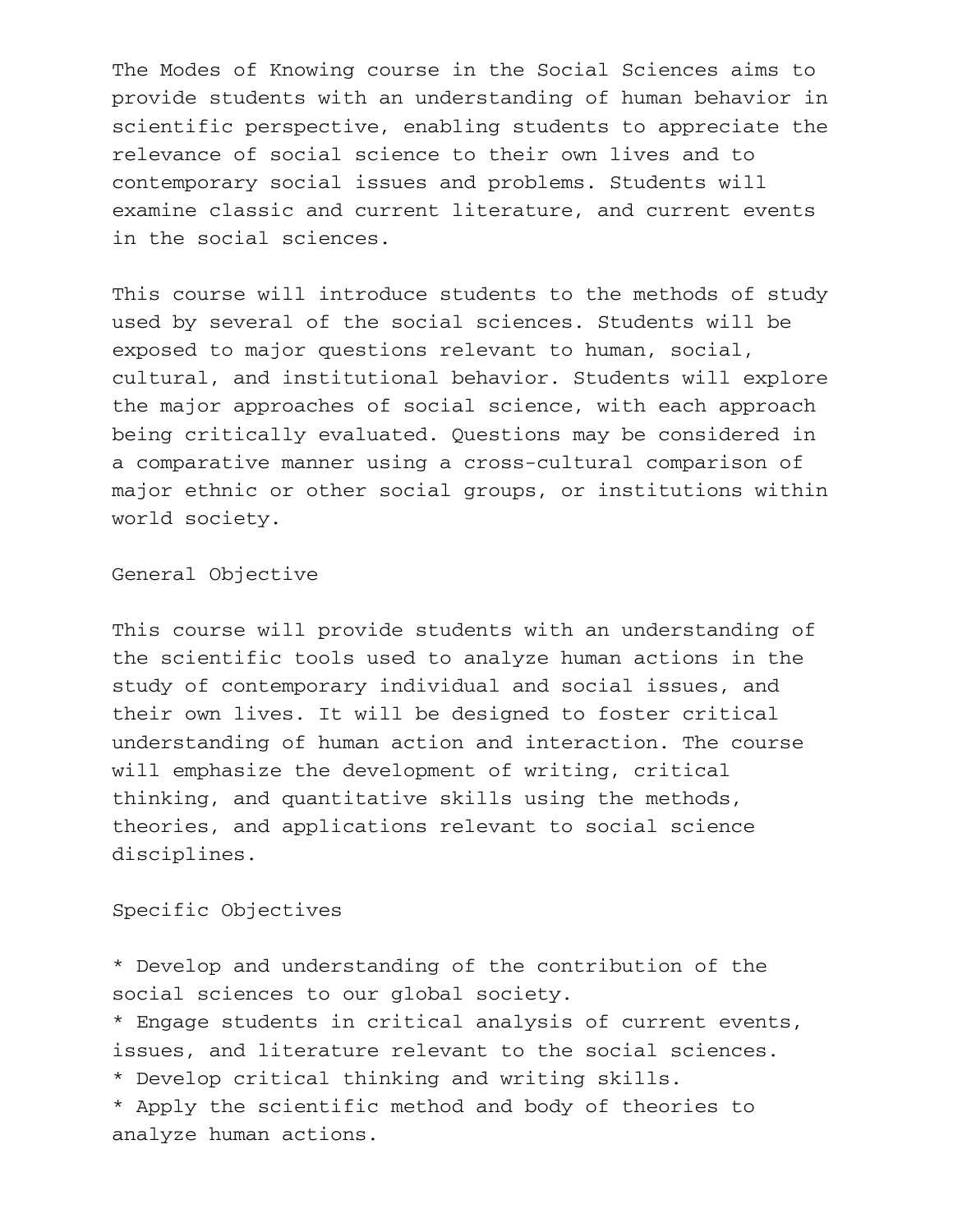The Modes of Knowing course in the Social Sciences aims to provide students with an understanding of human behavior in scientific perspective, enabling students to appreciate the relevance of social science to their own lives and to contemporary social issues and problems. Students will examine classic and current literature, and current events in the social sciences.

This course will introduce students to the methods of study used by several of the social sciences. Students will be exposed to major questions relevant to human, social, cultural, and institutional behavior. Students will explore the major approaches of social science, with each approach being critically evaluated. Questions may be considered in a comparative manner using a cross-cultural comparison of major ethnic or other social groups, or institutions within world society.

General Objective

This course will provide students with an understanding of the scientific tools used to analyze human actions in the study of contemporary individual and social issues, and their own lives. It will be designed to foster critical understanding of human action and interaction. The course will emphasize the development of writing, critical thinking, and quantitative skills using the methods, theories, and applications relevant to social science disciplines.

Specific Objectives

\* Develop and understanding of the contribution of the social sciences to our global society.

\* Engage students in critical analysis of current events, issues, and literature relevant to the social sciences.

\* Develop critical thinking and writing skills.

\* Apply the scientific method and body of theories to analyze human actions.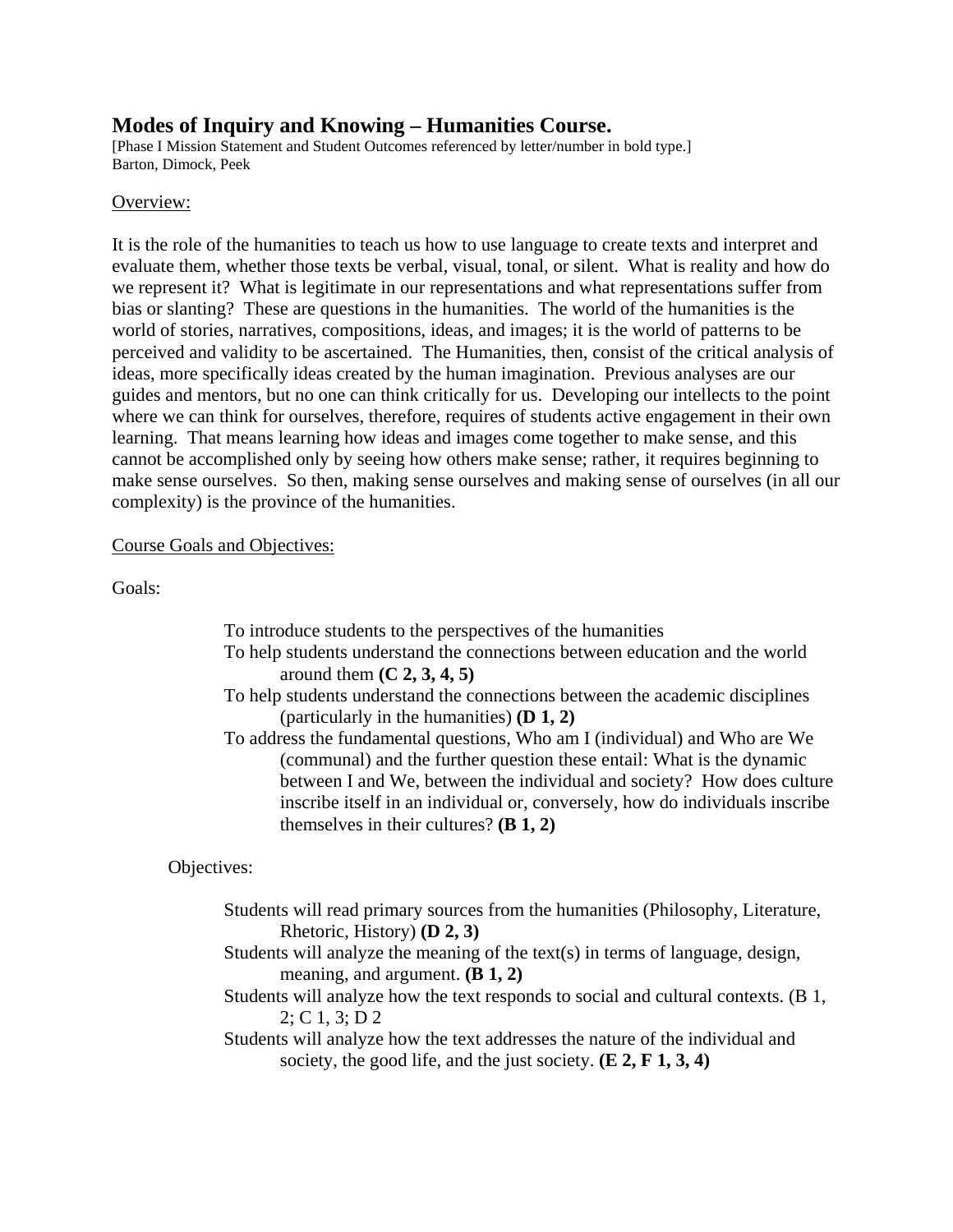## **Modes of Inquiry and Knowing – Humanities Course.**

[Phase I Mission Statement and Student Outcomes referenced by letter/number in bold type.] Barton, Dimock, Peek

#### Overview:

It is the role of the humanities to teach us how to use language to create texts and interpret and evaluate them, whether those texts be verbal, visual, tonal, or silent. What is reality and how do we represent it? What is legitimate in our representations and what representations suffer from bias or slanting? These are questions in the humanities. The world of the humanities is the world of stories, narratives, compositions, ideas, and images; it is the world of patterns to be perceived and validity to be ascertained. The Humanities, then, consist of the critical analysis of ideas, more specifically ideas created by the human imagination. Previous analyses are our guides and mentors, but no one can think critically for us. Developing our intellects to the point where we can think for ourselves, therefore, requires of students active engagement in their own learning. That means learning how ideas and images come together to make sense, and this cannot be accomplished only by seeing how others make sense; rather, it requires beginning to make sense ourselves. So then, making sense ourselves and making sense of ourselves (in all our complexity) is the province of the humanities.

#### Course Goals and Objectives:

Goals:

- To introduce students to the perspectives of the humanities
- To help students understand the connections between education and the world around them **(C 2, 3, 4, 5)**
- To help students understand the connections between the academic disciplines (particularly in the humanities) **(D 1, 2)**
- To address the fundamental questions, Who am I (individual) and Who are We (communal) and the further question these entail: What is the dynamic between I and We, between the individual and society? How does culture inscribe itself in an individual or, conversely, how do individuals inscribe themselves in their cultures? **(B 1, 2)**

Objectives:

- Students will read primary sources from the humanities (Philosophy, Literature, Rhetoric, History) **(D 2, 3)**
- Students will analyze the meaning of the text(s) in terms of language, design, meaning, and argument. **(B 1, 2)**
- Students will analyze how the text responds to social and cultural contexts. (B 1, 2; C 1, 3; D 2
- Students will analyze how the text addresses the nature of the individual and society, the good life, and the just society. **(E 2, F 1, 3, 4)**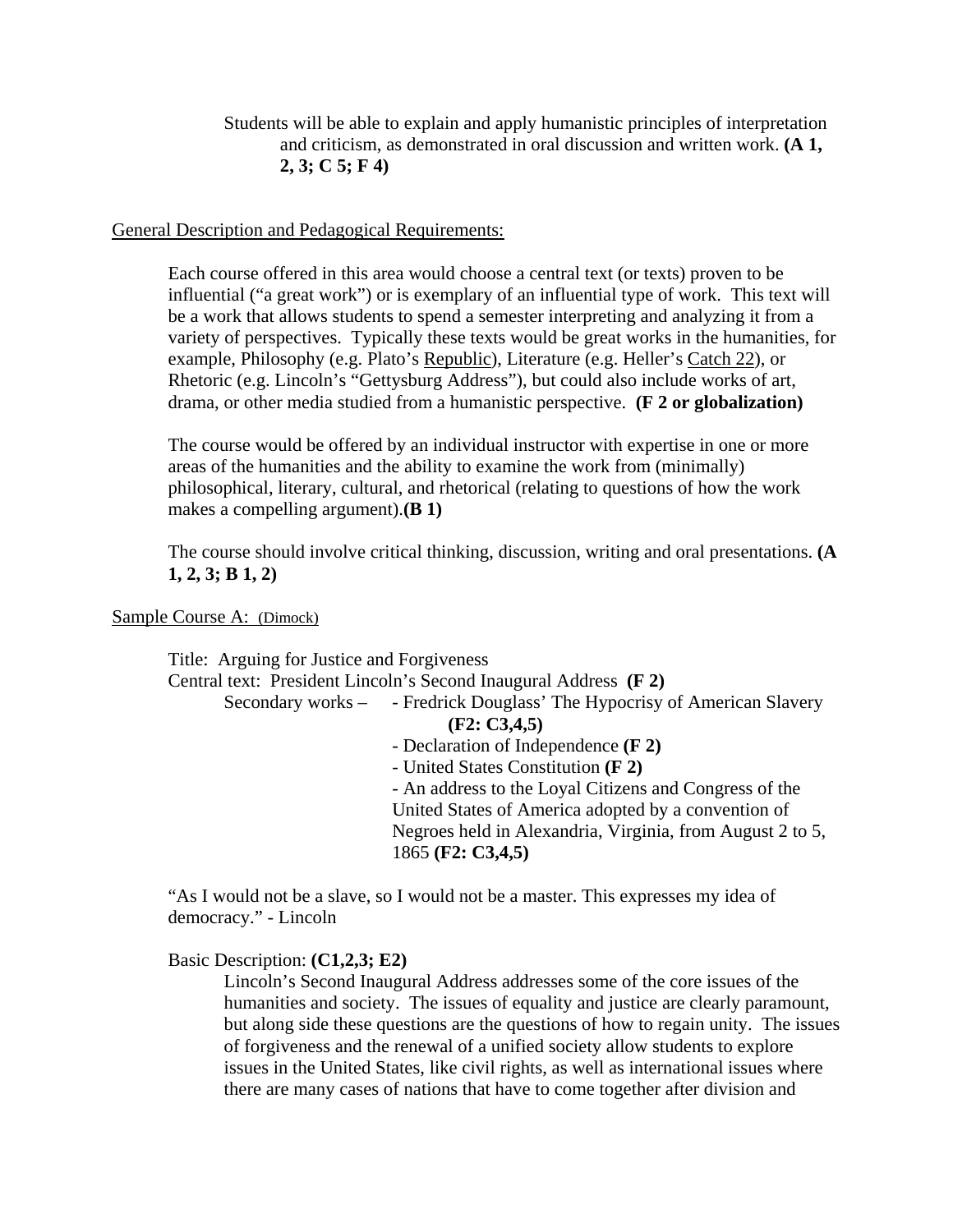Students will be able to explain and apply humanistic principles of interpretation and criticism, as demonstrated in oral discussion and written work. **(A 1, 2, 3; C 5; F 4)**

General Description and Pedagogical Requirements:

Each course offered in this area would choose a central text (or texts) proven to be influential ("a great work") or is exemplary of an influential type of work. This text will be a work that allows students to spend a semester interpreting and analyzing it from a variety of perspectives. Typically these texts would be great works in the humanities, for example, Philosophy (e.g. Plato's Republic), Literature (e.g. Heller's Catch 22), or Rhetoric (e.g. Lincoln's "Gettysburg Address"), but could also include works of art, drama, or other media studied from a humanistic perspective. **(F 2 or globalization)**

The course would be offered by an individual instructor with expertise in one or more areas of the humanities and the ability to examine the work from (minimally) philosophical, literary, cultural, and rhetorical (relating to questions of how the work makes a compelling argument).**(B 1)**

The course should involve critical thinking, discussion, writing and oral presentations. **(A 1, 2, 3; B 1, 2)**

#### Sample Course A: (Dimock)

Title: Arguing for Justice and Forgiveness Central text: President Lincoln's Second Inaugural Address **(F 2)** Secondary works – - Fredrick Douglass' The Hypocrisy of American Slavery **(F2: C3,4,5)** - Declaration of Independence **(F 2)** - United States Constitution **(F 2)** - An address to the Loyal Citizens and Congress of the United States of America adopted by a convention of Negroes held in Alexandria, Virginia, from August 2 to 5, 1865 **(F2: C3,4,5)**

"As I would not be a slave, so I would not be a master. This expresses my idea of democracy." - Lincoln

### Basic Description: **(C1,2,3; E2)**

Lincoln's Second Inaugural Address addresses some of the core issues of the humanities and society. The issues of equality and justice are clearly paramount, but along side these questions are the questions of how to regain unity. The issues of forgiveness and the renewal of a unified society allow students to explore issues in the United States, like civil rights, as well as international issues where there are many cases of nations that have to come together after division and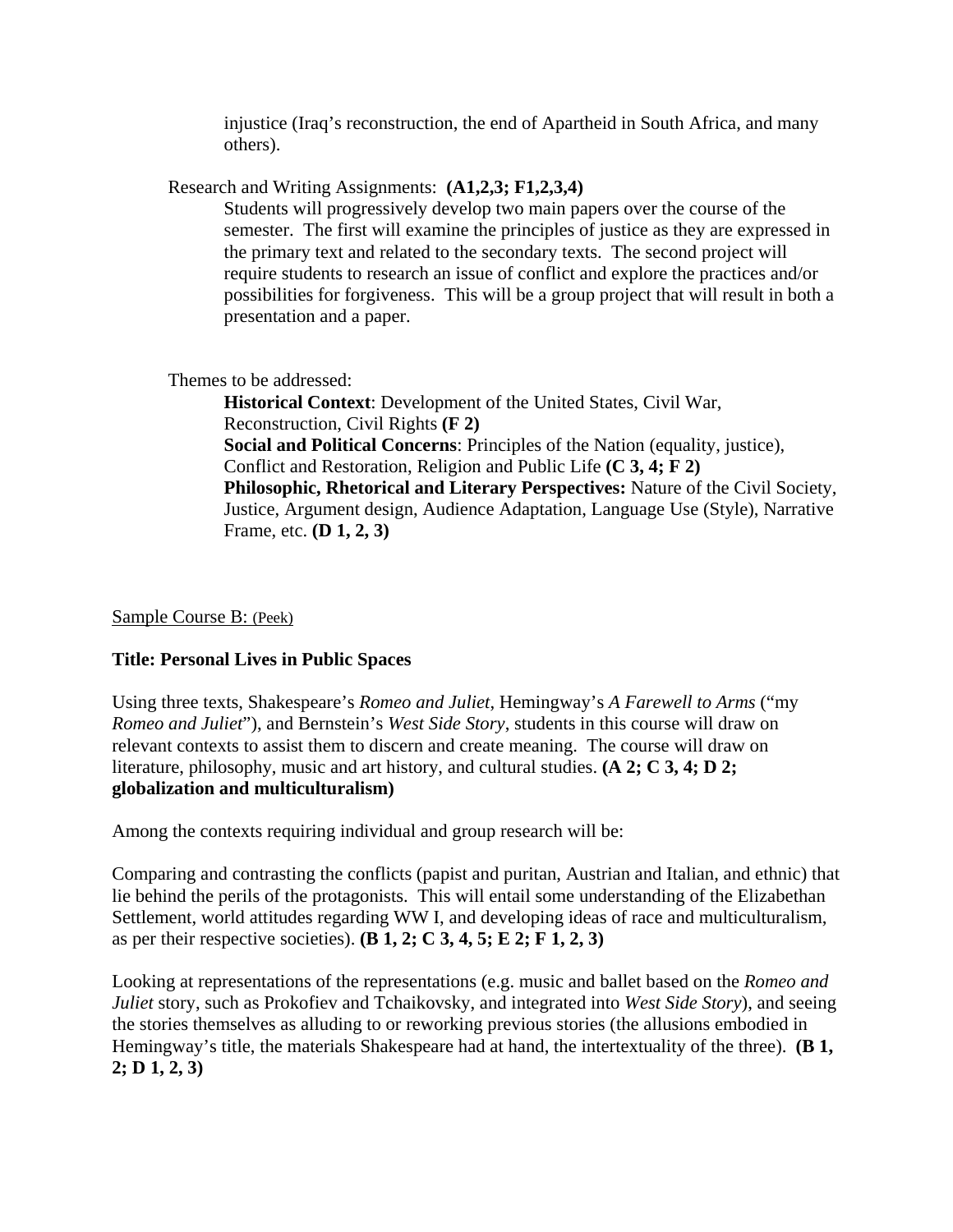injustice (Iraq's reconstruction, the end of Apartheid in South Africa, and many others).

Research and Writing Assignments: **(A1,2,3; F1,2,3,4)**

Students will progressively develop two main papers over the course of the semester. The first will examine the principles of justice as they are expressed in the primary text and related to the secondary texts. The second project will require students to research an issue of conflict and explore the practices and/or possibilities for forgiveness. This will be a group project that will result in both a presentation and a paper.

Themes to be addressed:

**Historical Context**: Development of the United States, Civil War, Reconstruction, Civil Rights **(F 2) Social and Political Concerns**: Principles of the Nation (equality, justice), Conflict and Restoration, Religion and Public Life **(C 3, 4; F 2) Philosophic, Rhetorical and Literary Perspectives:** Nature of the Civil Society, Justice, Argument design, Audience Adaptation, Language Use (Style), Narrative Frame, etc. **(D 1, 2, 3)**

### Sample Course B: (Peek)

## **Title: Personal Lives in Public Spaces**

Using three texts, Shakespeare's *Romeo and Juliet*, Hemingway's *A Farewell to Arms* ("my *Romeo and Juliet*"), and Bernstein's *West Side Story*, students in this course will draw on relevant contexts to assist them to discern and create meaning. The course will draw on literature, philosophy, music and art history, and cultural studies. **(A 2; C 3, 4; D 2; globalization and multiculturalism)**

Among the contexts requiring individual and group research will be:

Comparing and contrasting the conflicts (papist and puritan, Austrian and Italian, and ethnic) that lie behind the perils of the protagonists. This will entail some understanding of the Elizabethan Settlement, world attitudes regarding WW I, and developing ideas of race and multiculturalism, as per their respective societies). **(B 1, 2; C 3, 4, 5; E 2; F 1, 2, 3)**

Looking at representations of the representations (e.g. music and ballet based on the *Romeo and Juliet* story, such as Prokofiev and Tchaikovsky, and integrated into *West Side Story*), and seeing the stories themselves as alluding to or reworking previous stories (the allusions embodied in Hemingway's title, the materials Shakespeare had at hand, the intertextuality of the three). **(B 1, 2; D 1, 2, 3)**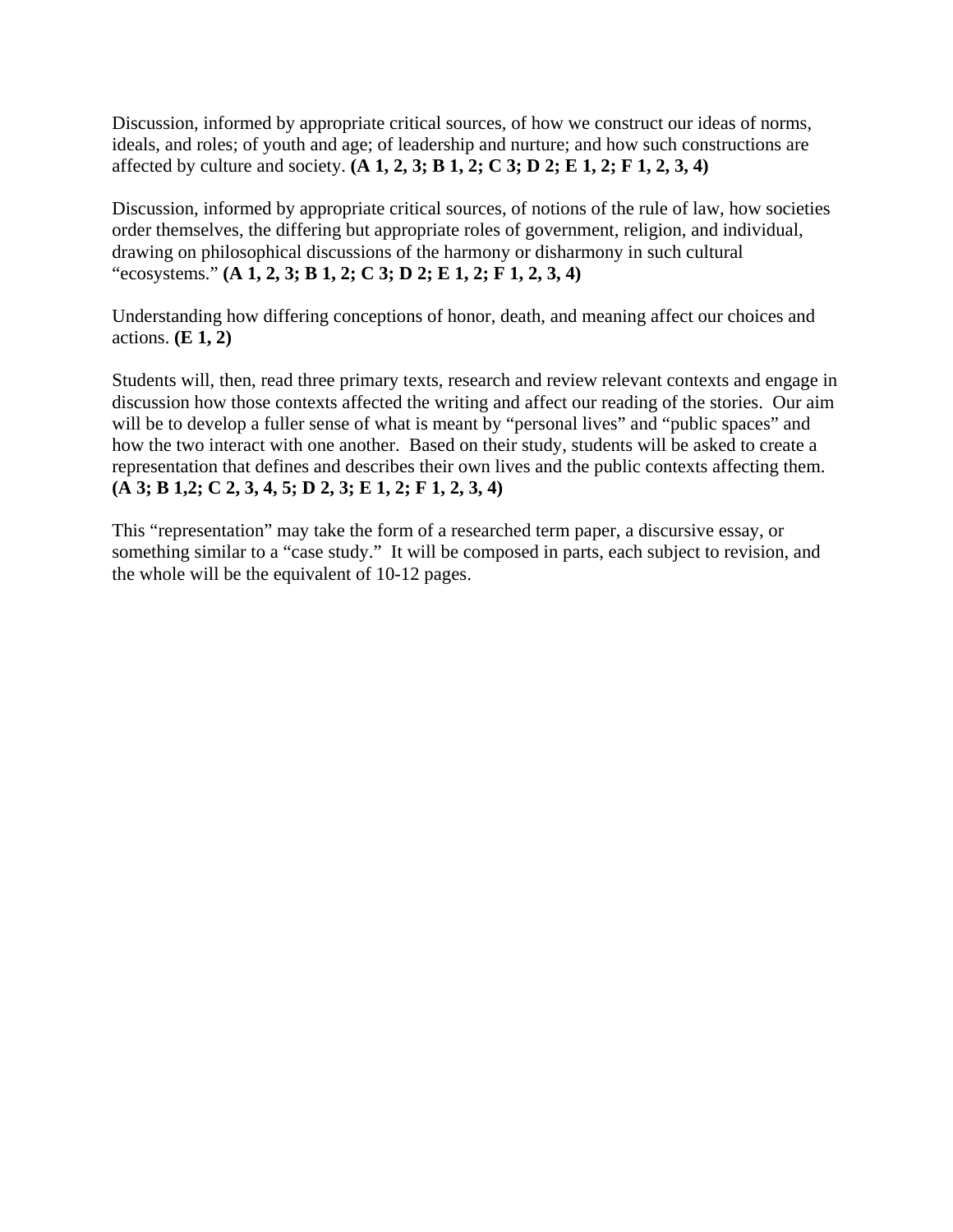Discussion, informed by appropriate critical sources, of how we construct our ideas of norms, ideals, and roles; of youth and age; of leadership and nurture; and how such constructions are affected by culture and society. **(A 1, 2, 3; B 1, 2; C 3; D 2; E 1, 2; F 1, 2, 3, 4)**

Discussion, informed by appropriate critical sources, of notions of the rule of law, how societies order themselves, the differing but appropriate roles of government, religion, and individual, drawing on philosophical discussions of the harmony or disharmony in such cultural "ecosystems." **(A 1, 2, 3; B 1, 2; C 3; D 2; E 1, 2; F 1, 2, 3, 4)**

Understanding how differing conceptions of honor, death, and meaning affect our choices and actions. **(E 1, 2)**

Students will, then, read three primary texts, research and review relevant contexts and engage in discussion how those contexts affected the writing and affect our reading of the stories. Our aim will be to develop a fuller sense of what is meant by "personal lives" and "public spaces" and how the two interact with one another. Based on their study, students will be asked to create a representation that defines and describes their own lives and the public contexts affecting them. **(A 3; B 1,2; C 2, 3, 4, 5; D 2, 3; E 1, 2; F 1, 2, 3, 4)** 

This "representation" may take the form of a researched term paper, a discursive essay, or something similar to a "case study." It will be composed in parts, each subject to revision, and the whole will be the equivalent of 10-12 pages.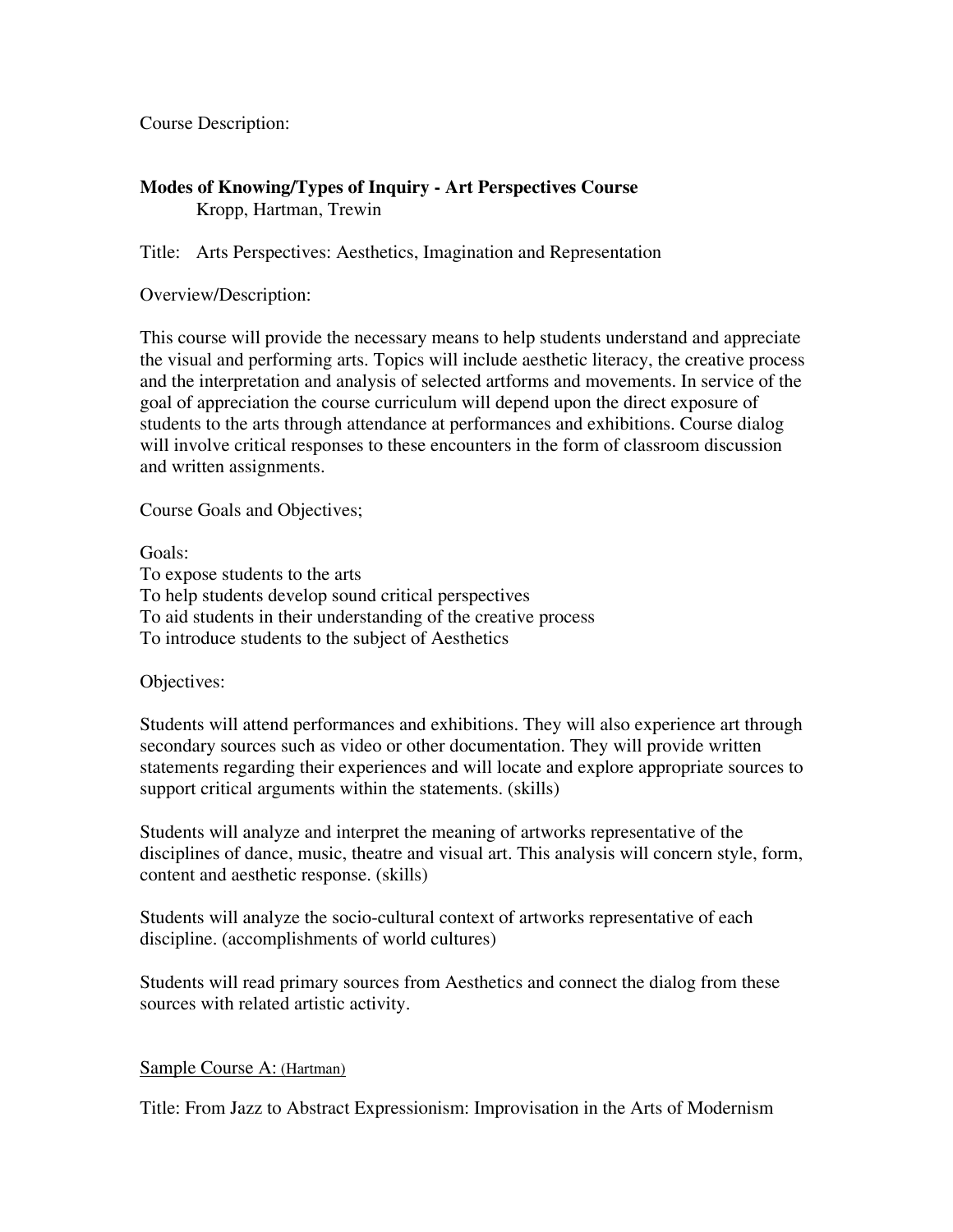Course Description:

## **Modes of Knowing/Types of Inquiry - Art Perspectives Course**  Kropp, Hartman, Trewin

Title: Arts Perspectives: Aesthetics, Imagination and Representation

Overview/Description:

This course will provide the necessary means to help students understand and appreciate the visual and performing arts. Topics will include aesthetic literacy, the creative process and the interpretation and analysis of selected artforms and movements. In service of the goal of appreciation the course curriculum will depend upon the direct exposure of students to the arts through attendance at performances and exhibitions. Course dialog will involve critical responses to these encounters in the form of classroom discussion and written assignments.

Course Goals and Objectives;

Goals: To expose students to the arts To help students develop sound critical perspectives To aid students in their understanding of the creative process To introduce students to the subject of Aesthetics

Objectives:

Students will attend performances and exhibitions. They will also experience art through secondary sources such as video or other documentation. They will provide written statements regarding their experiences and will locate and explore appropriate sources to support critical arguments within the statements. (skills)

Students will analyze and interpret the meaning of artworks representative of the disciplines of dance, music, theatre and visual art. This analysis will concern style, form, content and aesthetic response. (skills)

Students will analyze the socio-cultural context of artworks representative of each discipline. (accomplishments of world cultures)

Students will read primary sources from Aesthetics and connect the dialog from these sources with related artistic activity.

## Sample Course A: (Hartman)

Title: From Jazz to Abstract Expressionism: Improvisation in the Arts of Modernism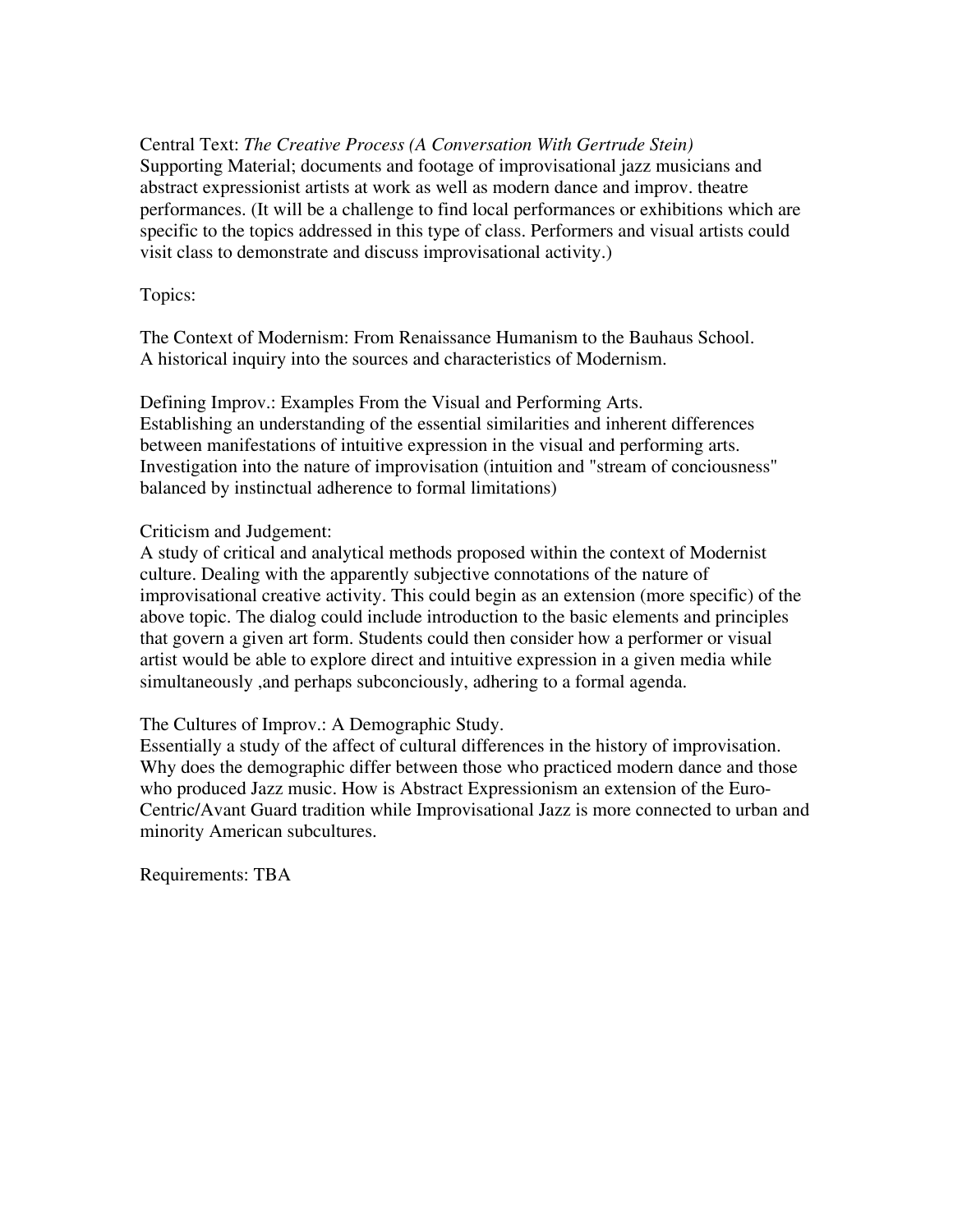Central Text: *The Creative Process (A Conversation With Gertrude Stein)*  Supporting Material; documents and footage of improvisational jazz musicians and abstract expressionist artists at work as well as modern dance and improv. theatre performances. (It will be a challenge to find local performances or exhibitions which are specific to the topics addressed in this type of class. Performers and visual artists could visit class to demonstrate and discuss improvisational activity.)

Topics:

The Context of Modernism: From Renaissance Humanism to the Bauhaus School. A historical inquiry into the sources and characteristics of Modernism.

Defining Improv.: Examples From the Visual and Performing Arts. Establishing an understanding of the essential similarities and inherent differences between manifestations of intuitive expression in the visual and performing arts. Investigation into the nature of improvisation (intuition and "stream of conciousness" balanced by instinctual adherence to formal limitations)

Criticism and Judgement:

A study of critical and analytical methods proposed within the context of Modernist culture. Dealing with the apparently subjective connotations of the nature of improvisational creative activity. This could begin as an extension (more specific) of the above topic. The dialog could include introduction to the basic elements and principles that govern a given art form. Students could then consider how a performer or visual artist would be able to explore direct and intuitive expression in a given media while simultaneously ,and perhaps subconciously, adhering to a formal agenda.

The Cultures of Improv.: A Demographic Study.

Essentially a study of the affect of cultural differences in the history of improvisation. Why does the demographic differ between those who practiced modern dance and those who produced Jazz music. How is Abstract Expressionism an extension of the Euro-Centric/Avant Guard tradition while Improvisational Jazz is more connected to urban and minority American subcultures.

Requirements: TBA